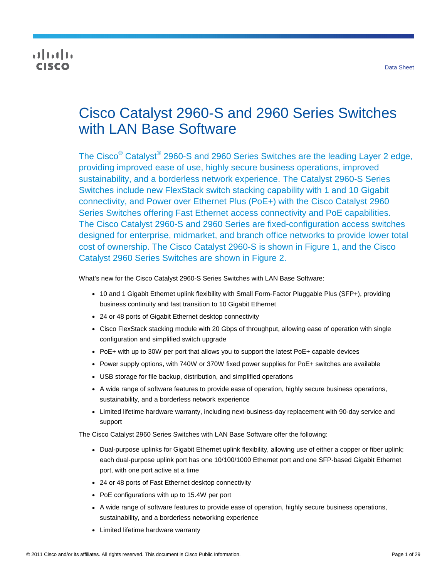# altalia cisco

# Cisco Catalyst 2960-S and 2960 Series Switches with LAN Base Software

The Cisco $^\circ$  Catalyst $^\circ$  2960-S and 2960 Series Switches are the leading Layer 2 edge, providing improved ease of use, highly secure business operations, improved sustainability, and a borderless network experience. The Catalyst 2960-S Series Switches include new FlexStack switch stacking capability with 1 and 10 Gigabit connectivity, and Power over Ethernet Plus (PoE+) with the Cisco Catalyst 2960 Series Switches offering Fast Ethernet access connectivity and PoE capabilities. The Cisco Catalyst 2960-S and 2960 Series are fixed-configuration access switches designed for enterprise, midmarket, and branch office networks to provide lower total cost of ownership. The Cisco Catalyst 2960-S is shown in Figure 1, and the Cisco Catalyst 2960 Series Switches are shown in Figure 2.

What's new for the Cisco Catalyst 2960-S Series Switches with LAN Base Software:

- 10 and 1 Gigabit Ethernet uplink flexibility with Small Form-Factor Pluggable Plus (SFP+), providing business continuity and fast transition to 10 Gigabit Ethernet
- 24 or 48 ports of Gigabit Ethernet desktop connectivity
- Cisco FlexStack stacking module with 20 Gbps of throughput, allowing ease of operation with single configuration and simplified switch upgrade
- PoE+ with up to 30W per port that allows you to support the latest PoE+ capable devices
- Power supply options, with 740W or 370W fixed power supplies for PoE+ switches are available
- USB storage for file backup, distribution, and simplified operations
- A wide range of software features to provide ease of operation, highly secure business operations, sustainability, and a borderless network experience
- Limited lifetime hardware warranty, including next-business-day replacement with 90-day service and support

The Cisco Catalyst 2960 Series Switches with LAN Base Software offer the following:

- Dual-purpose uplinks for Gigabit Ethernet uplink flexibility, allowing use of either a copper or fiber uplink; each dual-purpose uplink port has one 10/100/1000 Ethernet port and one SFP-based Gigabit Ethernet port, with one port active at a time
- 24 or 48 ports of Fast Ethernet desktop connectivity
- PoE configurations with up to 15.4W per port
- A wide range of software features to provide ease of operation, highly secure business operations, sustainability, and a borderless networking experience
- Limited lifetime hardware warranty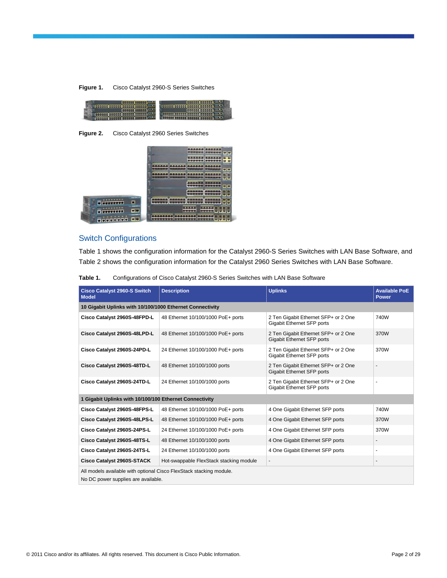| Figure 1. | Cisco Catalyst 2960-S Series Switches |
|-----------|---------------------------------------|
|-----------|---------------------------------------|

| -- |  |
|----|--|

**Figure 2.** Cisco Catalyst 2960 Series Switches



# Switch Configurations

Table 1 shows the configuration information for the Catalyst 2960-S Series Switches with LAN Base Software, and Table 2 shows the configuration information for the Catalyst 2960 Series Switches with LAN Base Software.

| Table 1. | Configurations of Cisco Catalyst 2960-S Series Switches with LAN Base Software |
|----------|--------------------------------------------------------------------------------|
|----------|--------------------------------------------------------------------------------|

| <b>Cisco Catalyst 2960-S Switch</b><br><b>Model</b>                                                        | <b>Description</b>                      | <b>Uplinks</b>                                                            | <b>Available PoE</b><br><b>Power</b> |  |
|------------------------------------------------------------------------------------------------------------|-----------------------------------------|---------------------------------------------------------------------------|--------------------------------------|--|
| 10 Gigabit Uplinks with 10/100/1000 Ethernet Connectivity                                                  |                                         |                                                                           |                                      |  |
| Cisco Catalyst 2960S-48FPD-L                                                                               | 48 Ethernet 10/100/1000 PoE+ ports      | 2 Ten Gigabit Ethernet SFP+ or 2 One<br>Gigabit Ethernet SFP ports        | 740W                                 |  |
| Cisco Catalyst 2960S-48LPD-L                                                                               | 48 Ethernet 10/100/1000 PoE+ ports      | 2 Ten Gigabit Ethernet SFP+ or 2 One<br><b>Gigabit Ethernet SFP ports</b> | 370W                                 |  |
| Cisco Catalyst 2960S-24PD-L                                                                                | 24 Ethernet 10/100/1000 PoE+ ports      | 2 Ten Gigabit Ethernet SFP+ or 2 One<br>Gigabit Ethernet SFP ports        | 370W                                 |  |
| Cisco Catalyst 2960S-48TD-L                                                                                | 48 Ethernet 10/100/1000 ports           | 2 Ten Gigabit Ethernet SFP+ or 2 One<br>Gigabit Ethernet SFP ports        |                                      |  |
| Cisco Catalyst 2960S-24TD-L                                                                                | 24 Ethernet 10/100/1000 ports           | 2 Ten Gigabit Ethernet SFP+ or 2 One<br>Gigabit Ethernet SFP ports        |                                      |  |
| 1 Gigabit Uplinks with 10/100/100 Ethernet Connectivity                                                    |                                         |                                                                           |                                      |  |
| Cisco Catalyst 2960S-48FPS-L                                                                               | 48 Ethernet 10/100/1000 PoE+ ports      | 4 One Gigabit Ethernet SFP ports                                          | 740W                                 |  |
| Cisco Catalyst 2960S-48LPS-L                                                                               | 48 Ethernet 10/100/1000 PoE+ ports      | 4 One Gigabit Ethernet SFP ports                                          | 370W                                 |  |
| Cisco Catalyst 2960S-24PS-L                                                                                | 24 Ethernet 10/100/1000 PoE+ ports      | 4 One Gigabit Ethernet SFP ports                                          | 370W                                 |  |
| Cisco Catalyst 2960S-48TS-L                                                                                | 48 Ethernet 10/100/1000 ports           | 4 One Gigabit Ethernet SFP ports                                          | $\overline{\phantom{a}}$             |  |
| Cisco Catalyst 2960S-24TS-L                                                                                | 24 Ethernet 10/100/1000 ports           | 4 One Gigabit Ethernet SFP ports                                          | ٠                                    |  |
| Cisco Catalyst 2960S-STACK                                                                                 | Hot-swappable FlexStack stacking module | $\overline{\phantom{a}}$                                                  | ٠                                    |  |
| All models available with optional Cisco FlexStack stacking module.<br>No DC power supplies are available. |                                         |                                                                           |                                      |  |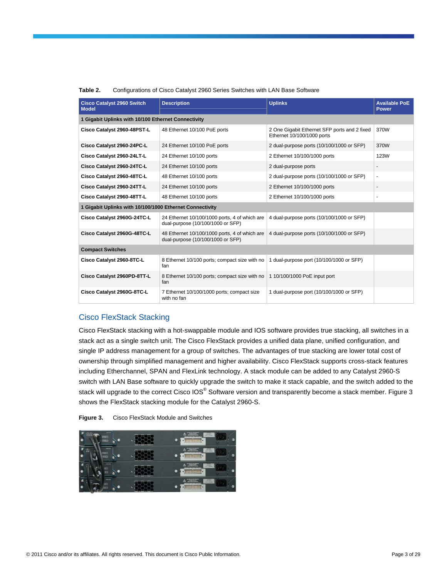| <b>Cisco Catalyst 2960 Switch</b><br><b>Model</b>        | <b>Description</b>                                                                 | <b>Uplinks</b>                                                             | <b>Available PoE</b><br>Power |
|----------------------------------------------------------|------------------------------------------------------------------------------------|----------------------------------------------------------------------------|-------------------------------|
| 1 Gigabit Uplinks with 10/100 Ethernet Connectivity      |                                                                                    |                                                                            |                               |
| Cisco Catalyst 2960-48PST-L                              | 48 Ethernet 10/100 PoE ports                                                       | 2 One Gigabit Ethernet SFP ports and 2 fixed<br>Ethernet 10/100/1000 ports | 370W                          |
| Cisco Catalyst 2960-24PC-L                               | 24 Ethernet 10/100 PoE ports                                                       | 2 dual-purpose ports (10/100/1000 or SFP)                                  | 370W                          |
| Cisco Catalyst 2960-24LT-L                               | 24 Ethernet 10/100 ports                                                           | 2 Ethernet 10/100/1000 ports                                               | <b>123W</b>                   |
| Cisco Catalyst 2960-24TC-L                               | 24 Ethernet 10/100 ports                                                           | 2 dual-purpose ports                                                       |                               |
| Cisco Catalyst 2960-48TC-L                               | 48 Ethernet 10/100 ports                                                           | 2 dual-purpose ports (10/100/1000 or SFP)                                  | ٠                             |
| Cisco Catalyst 2960-24TT-L                               | 24 Ethernet 10/100 ports                                                           | 2 Ethernet 10/100/1000 ports                                               | $\overline{\phantom{a}}$      |
| Cisco Catalyst 2960-48TT-L                               | 48 Ethernet 10/100 ports                                                           | 2 Ethernet 10/100/1000 ports                                               | $\ddot{\phantom{1}}$          |
| 1 Gigabit Uplinks with 10/100/1000 Ethernet Connectivity |                                                                                    |                                                                            |                               |
| Cisco Catalyst 2960G-24TC-L                              | 24 Ethernet 10/100/1000 ports, 4 of which are<br>dual-purpose (10/100/1000 or SFP) | 4 dual-purpose ports (10/100/1000 or SFP)                                  |                               |
| Cisco Catalyst 2960G-48TC-L                              | 48 Ethernet 10/100/1000 ports, 4 of which are<br>dual-purpose (10/100/1000 or SFP) | 4 dual-purpose ports (10/100/1000 or SFP)                                  |                               |
| <b>Compact Switches</b>                                  |                                                                                    |                                                                            |                               |
| Cisco Catalyst 2960-8TC-L                                | 8 Ethernet 10/100 ports; compact size with no<br>fan                               | 1 dual-purpose port (10/100/1000 or SFP)                                   |                               |
| Cisco Catalyst 2960PD-8TT-L                              | 8 Ethernet 10/100 ports; compact size with no<br>fan                               | 1 10/100/1000 PoE input port                                               |                               |
| Cisco Catalyst 2960G-8TC-L                               | 7 Ethernet 10/100/1000 ports; compact size<br>with no fan                          | 1 dual-purpose port (10/100/1000 or SFP)                                   |                               |

### **Table 2.** Configurations of Cisco Catalyst 2960 Series Switches with LAN Base Software

# Cisco FlexStack Stacking

Cisco FlexStack stacking with a hot-swappable module and IOS software provides true stacking, all switches in a stack act as a single switch unit. The Cisco FlexStack provides a unified data plane, unified configuration, and single IP address management for a group of switches. The advantages of true stacking are lower total cost of ownership through simplified management and higher availability. Cisco FlexStack supports cross-stack features including Etherchannel, SPAN and FlexLink technology. A stack module can be added to any Catalyst 2960-S switch with LAN Base software to quickly upgrade the switch to make it stack capable, and the switch added to the stack will upgrade to the correct Cisco IOS $^\circ$  Software version and transparently become a stack member. Figure 3 shows the FlexStack stacking module for the Catalyst 2960-S.



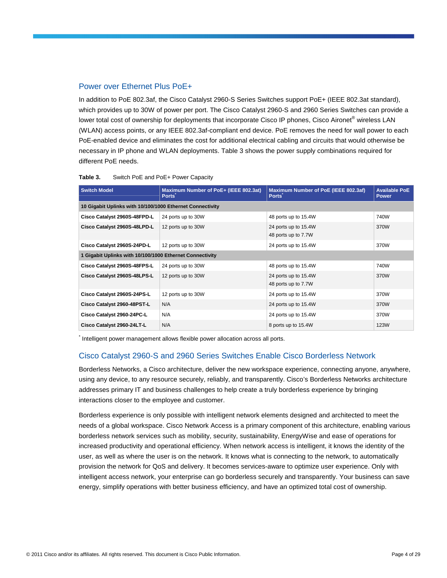# Power over Ethernet Plus PoE+

In addition to PoE 802.3af, the Cisco Catalyst 2960-S Series Switches support PoE+ (IEEE 802.3at standard), which provides up to 30W of power per port. The Cisco Catalyst 2960-S and 2960 Series Switches can provide a lower total cost of ownership for deployments that incorporate Cisco IP phones, Cisco Aironet® wireless LAN (WLAN) access points, or any IEEE 802.3af-compliant end device. PoE removes the need for wall power to each PoE-enabled device and eliminates the cost for additional electrical cabling and circuits that would otherwise be necessary in IP phone and WLAN deployments. Table 3 shows the power supply combinations required for different PoE needs.

| <b>Switch Model</b>                                       | Maximum Number of PoE+ (IEEE 802.3at)<br><b>Ports</b> | Maximum Number of PoE (IEEE 802.3af)<br><b>Ports</b> | <b>Available PoE</b><br><b>Power</b> |
|-----------------------------------------------------------|-------------------------------------------------------|------------------------------------------------------|--------------------------------------|
| 10 Gigabit Uplinks with 10/100/1000 Ethernet Connectivity |                                                       |                                                      |                                      |
| Cisco Catalyst 2960S-48FPD-L                              | 24 ports up to 30W                                    | 48 ports up to 15.4W                                 | 740W                                 |
| Cisco Catalyst 2960S-48LPD-L                              | 12 ports up to 30W                                    | 24 ports up to 15.4W<br>48 ports up to 7.7W          | 370W                                 |
| Cisco Catalyst 2960S-24PD-L                               | 12 ports up to 30W                                    | 24 ports up to 15.4W                                 | 370W                                 |
| 1 Gigabit Uplinks with 10/100/1000 Ethernet Connectivity  |                                                       |                                                      |                                      |
| Cisco Catalyst 2960S-48FPS-L                              | 24 ports up to 30W                                    | 48 ports up to 15.4W                                 | 740W                                 |
| Cisco Catalyst 2960S-48LPS-L                              | 12 ports up to 30W                                    | 24 ports up to 15.4W<br>48 ports up to 7.7W          | 370W                                 |
| Cisco Catalyst 2960S-24PS-L                               | 12 ports up to 30W                                    | 24 ports up to 15.4W                                 | 370W                                 |
| Cisco Catalyst 2960-48PST-L                               | N/A                                                   | 24 ports up to 15.4W                                 | 370W                                 |
| Cisco Catalyst 2960-24PC-L                                | N/A                                                   | 24 ports up to 15.4W                                 | 370W                                 |
| Cisco Catalyst 2960-24LT-L                                | N/A                                                   | 8 ports up to 15.4W                                  | 123W                                 |

| Switch PoE and PoE+ Power Capacity<br>Table 3. |  |
|------------------------------------------------|--|
|------------------------------------------------|--|

\* Intelligent power management allows flexible power allocation across all ports.

# Cisco Catalyst 2960-S and 2960 Series Switches Enable Cisco Borderless Network

Borderless Networks, a Cisco architecture, deliver the new workspace experience, connecting anyone, anywhere, using any device, to any resource securely, reliably, and transparently. Cisco's Borderless Networks architecture addresses primary IT and business challenges to help create a truly borderless experience by bringing interactions closer to the employee and customer.

Borderless experience is only possible with intelligent network elements designed and architected to meet the needs of a global workspace. Cisco Network Access is a primary component of this architecture, enabling various borderless network services such as mobility, security, sustainability, EnergyWise and ease of operations for increased productivity and operational efficiency. When network access is intelligent, it knows the identity of the user, as well as where the user is on the network. It knows what is connecting to the network, to automatically provision the network for QoS and delivery. It becomes services-aware to optimize user experience. Only with intelligent access network, your enterprise can go borderless securely and transparently. Your business can save energy, simplify operations with better business efficiency, and have an optimized total cost of ownership.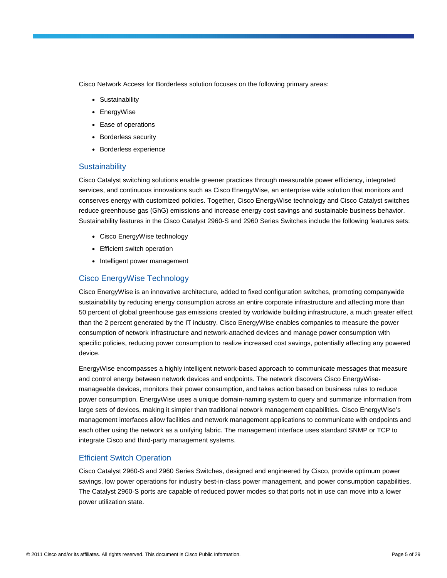Cisco Network Access for Borderless solution focuses on the following primary areas:

- Sustainability
- EnergyWise
- Ease of operations
- Borderless security
- Borderless experience

# **Sustainability**

Cisco Catalyst switching solutions enable greener practices through measurable power efficiency, integrated services, and continuous innovations such as Cisco EnergyWise, an enterprise wide solution that monitors and conserves energy with customized policies. Together, Cisco EnergyWise technology and Cisco Catalyst switches reduce greenhouse gas (GhG) emissions and increase energy cost savings and sustainable business behavior. Sustainability features in the Cisco Catalyst 2960-S and 2960 Series Switches include the following features sets:

- Cisco EnergyWise technology
- Efficient switch operation
- Intelligent power management

# Cisco EnergyWise Technology

Cisco EnergyWise is an innovative architecture, added to fixed configuration switches, promoting companywide sustainability by reducing energy consumption across an entire corporate infrastructure and affecting more than 50 percent of global greenhouse gas emissions created by worldwide building infrastructure, a much greater effect than the 2 percent generated by the IT industry. Cisco EnergyWise enables companies to measure the power consumption of network infrastructure and network-attached devices and manage power consumption with specific policies, reducing power consumption to realize increased cost savings, potentially affecting any powered device.

EnergyWise encompasses a highly intelligent network-based approach to communicate messages that measure and control energy between network devices and endpoints. The network discovers Cisco EnergyWisemanageable devices, monitors their power consumption, and takes action based on business rules to reduce power consumption. EnergyWise uses a unique domain-naming system to query and summarize information from large sets of devices, making it simpler than traditional network management capabilities. Cisco EnergyWise's management interfaces allow facilities and network management applications to communicate with endpoints and each other using the network as a unifying fabric. The management interface uses standard SNMP or TCP to integrate Cisco and third-party management systems.

# Efficient Switch Operation

Cisco Catalyst 2960-S and 2960 Series Switches, designed and engineered by Cisco, provide optimum power savings, low power operations for industry best-in-class power management, and power consumption capabilities. The Catalyst 2960-S ports are capable of reduced power modes so that ports not in use can move into a lower power utilization state.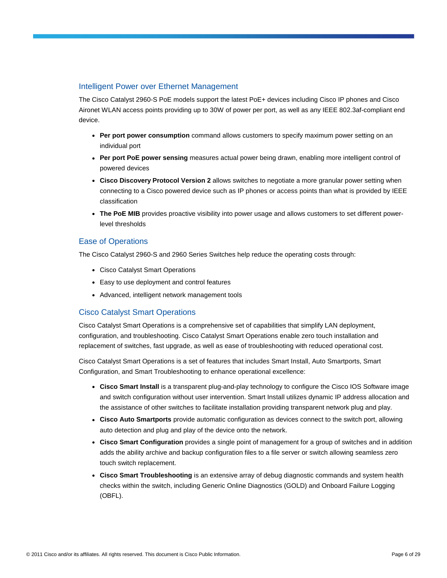# Intelligent Power over Ethernet Management

The Cisco Catalyst 2960-S PoE models support the latest PoE+ devices including Cisco IP phones and Cisco Aironet WLAN access points providing up to 30W of power per port, as well as any IEEE 802.3af-compliant end device.

- Per port power consumption command allows customers to specify maximum power setting on an individual port
- **Per port PoE power sensing** measures actual power being drawn, enabling more intelligent control of powered devices
- **Cisco Discovery Protocol Version 2** allows switches to negotiate a more granular power setting when connecting to a Cisco powered device such as IP phones or access points than what is provided by IEEE classification
- The PoE MIB provides proactive visibility into power usage and allows customers to set different powerlevel thresholds

# Ease of Operations

The Cisco Catalyst 2960-S and 2960 Series Switches help reduce the operating costs through:

- Cisco Catalyst Smart Operations
- Easy to use deployment and control features
- Advanced, intelligent network management tools

# Cisco Catalyst Smart Operations

Cisco Catalyst Smart Operations is a comprehensive set of capabilities that simplify LAN deployment, configuration, and troubleshooting. Cisco Catalyst Smart Operations enable zero touch installation and replacement of switches, fast upgrade, as well as ease of troubleshooting with reduced operational cost.

Cisco Catalyst Smart Operations is a set of features that includes Smart Install, Auto Smartports, Smart Configuration, and Smart Troubleshooting to enhance operational excellence:

- Cisco Smart Install is a transparent plug-and-play technology to configure the Cisco IOS Software image and switch configuration without user intervention. Smart Install utilizes dynamic IP address allocation and the assistance of other switches to facilitate installation providing transparent network plug and play.
- **Cisco Auto Smartports** provide automatic configuration as devices connect to the switch port, allowing auto detection and plug and play of the device onto the network.
- **Cisco Smart Configuration** provides a single point of management for a group of switches and in addition adds the ability archive and backup configuration files to a file server or switch allowing seamless zero touch switch replacement.
- **Cisco Smart Troubleshooting** is an extensive array of debug diagnostic commands and system health checks within the switch, including Generic Online Diagnostics (GOLD) and Onboard Failure Logging (OBFL).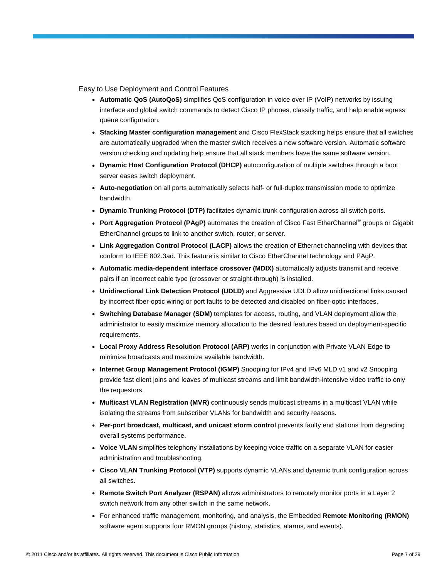Easy to Use Deployment and Control Features

- **Automatic QoS (AutoQoS)** simplifies QoS configuration in voice over IP (VoIP) networks by issuing interface and global switch commands to detect Cisco IP phones, classify traffic, and help enable egress queue configuration.
- **Stacking Master configuration management** and Cisco FlexStack stacking helps ensure that all switches are automatically upgraded when the master switch receives a new software version. Automatic software version checking and updating help ensure that all stack members have the same software version.
- **Dynamic Host Configuration Protocol (DHCP)** autoconfiguration of multiple switches through a boot server eases switch deployment.
- **Auto-negotiation** on all ports automatically selects half- or full-duplex transmission mode to optimize bandwidth.
- **Dynamic Trunking Protocol (DTP)** facilitates dynamic trunk configuration across all switch ports.
- Port Aggregation Protocol (PAgP) automates the creation of Cisco Fast EtherChannel<sup>®</sup> groups or Gigabit EtherChannel groups to link to another switch, router, or server.
- **Link Aggregation Control Protocol (LACP)** allows the creation of Ethernet channeling with devices that conform to IEEE 802.3ad. This feature is similar to Cisco EtherChannel technology and PAgP.
- **Automatic media-dependent interface crossover (MDIX)** automatically adjusts transmit and receive pairs if an incorrect cable type (crossover or straight-through) is installed.
- **Unidirectional Link Detection Protocol (UDLD)** and Aggressive UDLD allow unidirectional links caused by incorrect fiber-optic wiring or port faults to be detected and disabled on fiber-optic interfaces.
- **Switching Database Manager (SDM)** templates for access, routing, and VLAN deployment allow the administrator to easily maximize memory allocation to the desired features based on deployment-specific requirements.
- **Local Proxy Address Resolution Protocol (ARP)** works in conjunction with Private VLAN Edge to minimize broadcasts and maximize available bandwidth.
- Internet Group Management Protocol (IGMP) Snooping for IPv4 and IPv6 MLD v1 and v2 Snooping provide fast client joins and leaves of multicast streams and limit bandwidth-intensive video traffic to only the requestors.
- **Multicast VLAN Registration (MVR)** continuously sends multicast streams in a multicast VLAN while isolating the streams from subscriber VLANs for bandwidth and security reasons.
- **Per-port broadcast, multicast, and unicast storm control** prevents faulty end stations from degrading overall systems performance.
- Voice VLAN simplifies telephony installations by keeping voice traffic on a separate VLAN for easier administration and troubleshooting.
- **Cisco VLAN Trunking Protocol (VTP)** supports dynamic VLANs and dynamic trunk configuration across all switches.
- **Remote Switch Port Analyzer (RSPAN)** allows administrators to remotely monitor ports in a Layer 2 switch network from any other switch in the same network.
- For enhanced traffic management, monitoring, and analysis, the Embedded **Remote Monitoring (RMON)** software agent supports four RMON groups (history, statistics, alarms, and events).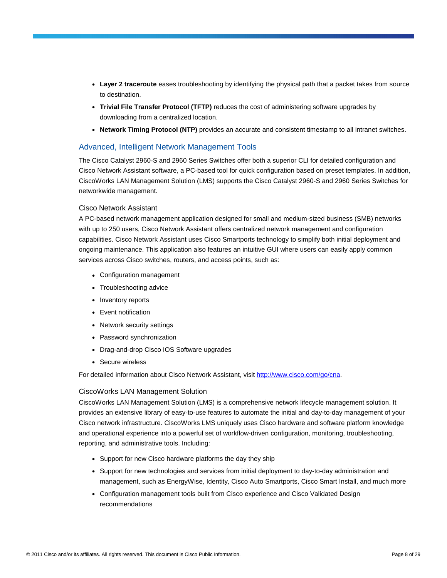- **Layer 2 traceroute** eases troubleshooting by identifying the physical path that a packet takes from source to destination.
- **Trivial File Transfer Protocol (TFTP)** reduces the cost of administering software upgrades by downloading from a centralized location.
- **Network Timing Protocol (NTP)** provides an accurate and consistent timestamp to all intranet switches.

# Advanced, Intelligent Network Management Tools

The Cisco Catalyst 2960-S and 2960 Series Switches offer both a superior CLI for detailed configuration and Cisco Network Assistant software, a PC-based tool for quick configuration based on preset templates. In addition, CiscoWorks LAN Management Solution (LMS) supports the Cisco Catalyst 2960-S and 2960 Series Switches for networkwide management.

### Cisco Network Assistant

A PC-based network management application designed for small and medium-sized business (SMB) networks with up to 250 users, Cisco Network Assistant offers centralized network management and configuration capabilities. Cisco Network Assistant uses Cisco Smartports technology to simplify both initial deployment and ongoing maintenance. This application also features an intuitive GUI where users can easily apply common services across Cisco switches, routers, and access points, such as:

- Configuration management
- Troubleshooting advice
- Inventory reports
- Event notification
- Network security settings
- Password synchronization
- Drag-and-drop Cisco IOS Software upgrades
- Secure wireless

For detailed information about Cisco Network Assistant, visit [http://www.cisco.com/go/cna.](http://www.cisco.com/go/cna)

# CiscoWorks LAN Management Solution

CiscoWorks LAN Management Solution (LMS) is a comprehensive network lifecycle management solution. It provides an extensive library of easy-to-use features to automate the initial and day-to-day management of your Cisco network infrastructure. CiscoWorks LMS uniquely uses Cisco hardware and software platform knowledge and operational experience into a powerful set of workflow-driven configuration, monitoring, troubleshooting, reporting, and administrative tools. Including:

- Support for new Cisco hardware platforms the day they ship
- Support for new technologies and services from initial deployment to day-to-day administration and management, such as EnergyWise, Identity, Cisco Auto Smartports, Cisco Smart Install, and much more
- Configuration management tools built from Cisco experience and Cisco Validated Design recommendations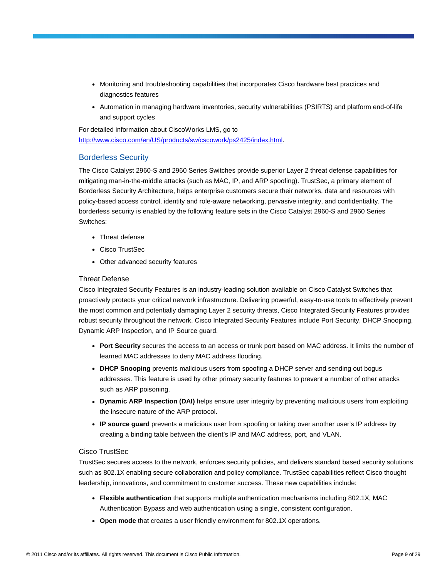- Monitoring and troubleshooting capabilities that incorporates Cisco hardware best practices and diagnostics features
- Automation in managing hardware inventories, security vulnerabilities (PSIRTS) and platform end-of-life and support cycles

For detailed information about CiscoWorks LMS, go to <http://www.cisco.com/en/US/products/sw/cscowork/ps2425/index.html>.

# Borderless Security

The Cisco Catalyst 2960-S and 2960 Series Switches provide superior Layer 2 threat defense capabilities for mitigating man-in-the-middle attacks (such as MAC, IP, and ARP spoofing). TrustSec, a primary element of Borderless Security Architecture, helps enterprise customers secure their networks, data and resources with policy-based access control, identity and role-aware networking, pervasive integrity, and confidentiality. The borderless security is enabled by the following feature sets in the Cisco Catalyst 2960-S and 2960 Series Switches:

- Threat defense
- Cisco TrustSec
- Other advanced security features

# Threat Defense

Cisco Integrated Security Features is an industry-leading solution available on Cisco Catalyst Switches that proactively protects your critical network infrastructure. Delivering powerful, easy-to-use tools to effectively prevent the most common and potentially damaging Layer 2 security threats, Cisco Integrated Security Features provides robust security throughout the network. Cisco Integrated Security Features include Port Security, DHCP Snooping, Dynamic ARP Inspection, and IP Source guard.

- **Port Security** secures the access to an access or trunk port based on MAC address. It limits the number of learned MAC addresses to deny MAC address flooding.
- **DHCP Snooping** prevents malicious users from spoofing a DHCP server and sending out bogus addresses. This feature is used by other primary security features to prevent a number of other attacks such as ARP poisoning.
- **Dynamic ARP Inspection (DAI)** helps ensure user integrity by preventing malicious users from exploiting the insecure nature of the ARP protocol.
- **IP source guard** prevents a malicious user from spoofing or taking over another user's IP address by creating a binding table between the client's IP and MAC address, port, and VLAN.

### Cisco TrustSec

TrustSec secures access to the network, enforces security policies, and delivers standard based security solutions such as 802.1X enabling secure collaboration and policy compliance. TrustSec capabilities reflect Cisco thought leadership, innovations, and commitment to customer success. These new capabilities include:

- **Flexible authentication** that supports multiple authentication mechanisms including 802.1X, MAC Authentication Bypass and web authentication using a single, consistent configuration.
- Open mode that creates a user friendly environment for 802.1X operations.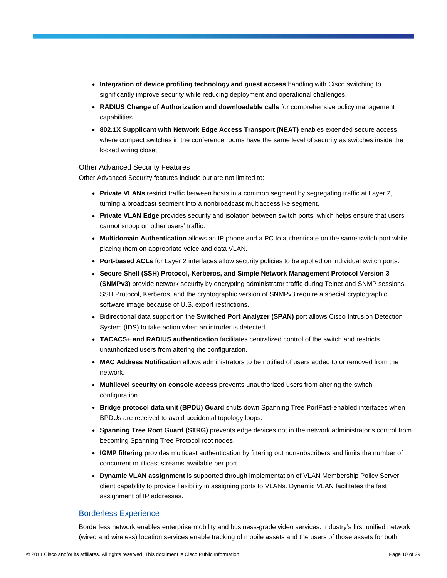- **Integration of device profiling technology and guest access** handling with Cisco switching to significantly improve security while reducing deployment and operational challenges.
- **RADIUS Change of Authorization and downloadable calls** for comprehensive policy management capabilities.
- **802.1X Supplicant with Network Edge Access Transport (NEAT)** enables extended secure access where compact switches in the conference rooms have the same level of security as switches inside the locked wiring closet.

### Other Advanced Security Features

Other Advanced Security features include but are not limited to:

- Private VLANs restrict traffic between hosts in a common segment by segregating traffic at Layer 2, turning a broadcast segment into a nonbroadcast multiaccesslike segment.
- **Private VLAN Edge** provides security and isolation between switch ports, which helps ensure that users cannot snoop on other users' traffic.
- **Multidomain Authentication** allows an IP phone and a PC to authenticate on the same switch port while placing them on appropriate voice and data VLAN.
- **Port-based ACLs** for Layer 2 interfaces allow security policies to be applied on individual switch ports.
- **Secure Shell (SSH) Protocol, Kerberos, and Simple Network Management Protocol Version 3 (SNMPv3)** provide network security by encrypting administrator traffic during Telnet and SNMP sessions. SSH Protocol, Kerberos, and the cryptographic version of SNMPv3 require a special cryptographic software image because of U.S. export restrictions.
- Bidirectional data support on the **Switched Port Analyzer (SPAN)** port allows Cisco Intrusion Detection System (IDS) to take action when an intruder is detected.
- **TACACS+ and RADIUS authentication** facilitates centralized control of the switch and restricts unauthorized users from altering the configuration.
- **MAC Address Notification** allows administrators to be notified of users added to or removed from the network.
- **Multilevel security on console access** prevents unauthorized users from altering the switch configuration.
- **Bridge protocol data unit (BPDU) Guard** shuts down Spanning Tree PortFast-enabled interfaces when BPDUs are received to avoid accidental topology loops.
- **Spanning Tree Root Guard (STRG)** prevents edge devices not in the network administrator's control from becoming Spanning Tree Protocol root nodes.
- **IGMP filtering** provides multicast authentication by filtering out nonsubscribers and limits the number of concurrent multicast streams available per port.
- **Dynamic VLAN assignment** is supported through implementation of VLAN Membership Policy Server client capability to provide flexibility in assigning ports to VLANs. Dynamic VLAN facilitates the fast assignment of IP addresses.

# Borderless Experience

Borderless network enables enterprise mobility and business-grade video services. Industry's first unified network (wired and wireless) location services enable tracking of mobile assets and the users of those assets for both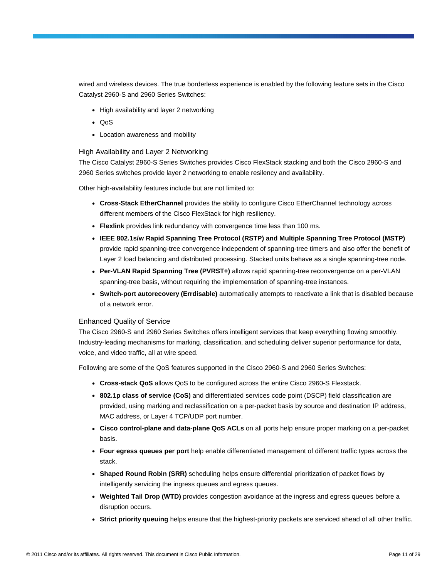wired and wireless devices. The true borderless experience is enabled by the following feature sets in the Cisco Catalyst 2960-S and 2960 Series Switches:

- High availability and layer 2 networking
- QoS
- Location awareness and mobility

### High Availability and Layer 2 Networking

The Cisco Catalyst 2960-S Series Switches provides Cisco FlexStack stacking and both the Cisco 2960-S and 2960 Series switches provide layer 2 networking to enable resilency and availability.

Other high-availability features include but are not limited to:

- **Cross-Stack EtherChannel** provides the ability to configure Cisco EtherChannel technology across different members of the Cisco FlexStack for high resiliency.
- Flexlink provides link redundancy with convergence time less than 100 ms.
- **IEEE 802.1s/w Rapid Spanning Tree Protocol (RSTP) and Multiple Spanning Tree Protocol (MSTP)** provide rapid spanning-tree convergence independent of spanning-tree timers and also offer the benefit of Layer 2 load balancing and distributed processing. Stacked units behave as a single spanning-tree node.
- **Per-VLAN Rapid Spanning Tree (PVRST+)** allows rapid spanning-tree reconvergence on a per-VLAN spanning-tree basis, without requiring the implementation of spanning-tree instances.
- **Switch-port autorecovery (Errdisable)** automatically attempts to reactivate a link that is disabled because of a network error.

### Enhanced Quality of Service

The Cisco 2960-S and 2960 Series Switches offers intelligent services that keep everything flowing smoothly. Industry-leading mechanisms for marking, classification, and scheduling deliver superior performance for data, voice, and video traffic, all at wire speed.

Following are some of the QoS features supported in the Cisco 2960-S and 2960 Series Switches:

- **Cross-stack QoS** allows QoS to be configured across the entire Cisco 2960-S Flexstack.
- **802.1p class of service (CoS)** and differentiated services code point (DSCP) field classification are provided, using marking and reclassification on a per-packet basis by source and destination IP address, MAC address, or Layer 4 TCP/UDP port number.
- **Cisco control-plane and data-plane QoS ACLs** on all ports help ensure proper marking on a per-packet basis.
- **Four egress queues per port** help enable differentiated management of different traffic types across the stack.
- **Shaped Round Robin (SRR)** scheduling helps ensure differential prioritization of packet flows by intelligently servicing the ingress queues and egress queues.
- **Weighted Tail Drop (WTD)** provides congestion avoidance at the ingress and egress queues before a disruption occurs.
- **Strict priority queuing** helps ensure that the highest-priority packets are serviced ahead of all other traffic.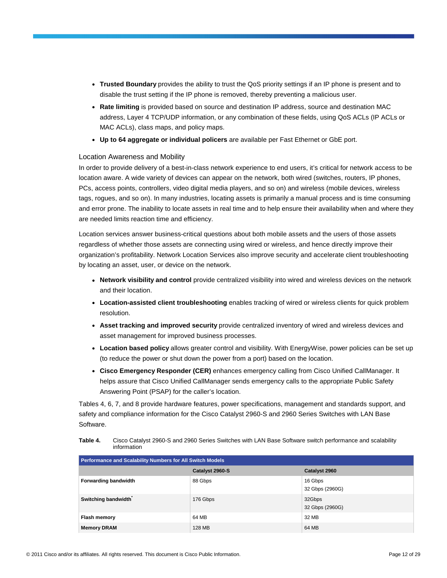- **Trusted Boundary** provides the ability to trust the QoS priority settings if an IP phone is present and to disable the trust setting if the IP phone is removed, thereby preventing a malicious user.
- **Rate limiting** is provided based on source and destination IP address, source and destination MAC address, Layer 4 TCP/UDP information, or any combination of these fields, using QoS ACLs (IP ACLs or MAC ACLs), class maps, and policy maps.
- **Up to 64 aggregate or individual policers** are available per Fast Ethernet or GbE port.

### Location Awareness and Mobility

In order to provide delivery of a best-in-class network experience to end users, it's critical for network access to be location aware. A wide variety of devices can appear on the network, both wired (switches, routers, IP phones, PCs, access points, controllers, video digital media players, and so on) and wireless (mobile devices, wireless tags, rogues, and so on). In many industries, locating assets is primarily a manual process and is time consuming and error prone. The inability to locate assets in real time and to help ensure their availability when and where they are needed limits reaction time and efficiency.

Location services answer business-critical questions about both mobile assets and the users of those assets regardless of whether those assets are connecting using wired or wireless, and hence directly improve their organization's profitability. Network Location Services also improve security and accelerate client troubleshooting by locating an asset, user, or device on the network.

- **Network visibility and control** provide centralized visibility into wired and wireless devices on the network and their location.
- **Location-assisted client troubleshooting** enables tracking of wired or wireless clients for quick problem resolution.
- **Asset tracking and improved security** provide centralized inventory of wired and wireless devices and asset management for improved business processes.
- **Location based policy** allows greater control and visibility. With EnergyWise, power policies can be set up (to reduce the power or shut down the power from a port) based on the location.
- **Cisco Emergency Responder (CER)** enhances emergency calling from Cisco Unified CallManager. It helps assure that Cisco Unified CallManager sends emergency calls to the appropriate Public Safety Answering Point (PSAP) for the caller's location.

Tables 4, 6, 7, and 8 provide hardware features, power specifications, management and standards support, and safety and compliance information for the Cisco Catalyst 2960-S and 2960 Series Switches with LAN Base Software.

| Table 4. | Cisco Catalyst 2960-S and 2960 Series Switches with LAN Base Software switch performance and scalability |
|----------|----------------------------------------------------------------------------------------------------------|
|          | information                                                                                              |

| Performance and Scalability Numbers for All Switch Models |                 |                            |  |
|-----------------------------------------------------------|-----------------|----------------------------|--|
|                                                           | Catalyst 2960-S | Catalyst 2960              |  |
| <b>Forwarding bandwidth</b>                               | 88 Gbps         | 16 Gbps<br>32 Gbps (2960G) |  |
| Switching bandwidth                                       | 176 Gbps        | 32Gbps<br>32 Gbps (2960G)  |  |
| Flash memory                                              | 64 MB           | 32 MB                      |  |
| <b>Memory DRAM</b>                                        | 128 MB          | 64 MB                      |  |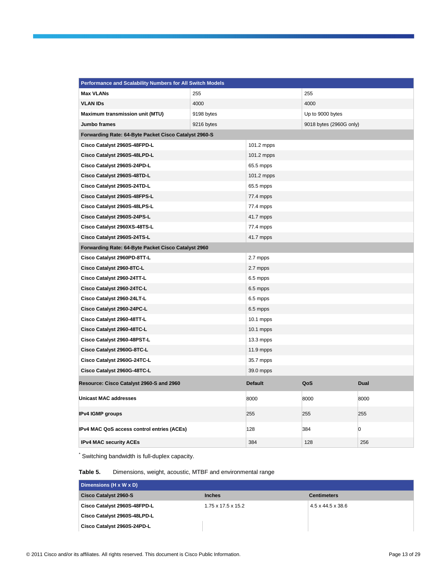| Performance and Scalability Numbers for All Switch Models |            |                |                         |      |
|-----------------------------------------------------------|------------|----------------|-------------------------|------|
| <b>Max VLANs</b>                                          | 255        |                | 255                     |      |
| <b>VLAN IDS</b>                                           | 4000       |                | 4000                    |      |
| Maximum transmission unit (MTU)                           | 9198 bytes |                | Up to 9000 bytes        |      |
| Jumbo frames                                              | 9216 bytes |                | 9018 bytes (2960G only) |      |
| Forwarding Rate: 64-Byte Packet Cisco Catalyst 2960-S     |            |                |                         |      |
| Cisco Catalyst 2960S-48FPD-L                              |            | 101.2 mpps     |                         |      |
| Cisco Catalyst 2960S-48LPD-L                              |            | 101.2 mpps     |                         |      |
| Cisco Catalyst 2960S-24PD-L                               |            | 65.5 mpps      |                         |      |
| Cisco Catalyst 2960S-48TD-L                               |            | 101.2 mpps     |                         |      |
| Cisco Catalyst 2960S-24TD-L                               |            | 65.5 mpps      |                         |      |
| Cisco Catalyst 2960S-48FPS-L                              |            | 77.4 mpps      |                         |      |
| Cisco Catalyst 2960S-48LPS-L                              |            | 77.4 mpps      |                         |      |
| Cisco Catalyst 2960S-24PS-L                               |            | 41.7 mpps      |                         |      |
| Cisco Catalyst 2960XS-48TS-L                              |            | 77.4 mpps      |                         |      |
| Cisco Catalyst 2960S-24TS-L                               |            | 41.7 mpps      |                         |      |
| Forwarding Rate: 64-Byte Packet Cisco Catalyst 2960       |            |                |                         |      |
| Cisco Catalyst 2960PD-8TT-L                               |            | 2.7 mpps       |                         |      |
| Cisco Catalyst 2960-8TC-L                                 |            | 2.7 mpps       |                         |      |
| Cisco Catalyst 2960-24TT-L                                |            | 6.5 mpps       |                         |      |
| Cisco Catalyst 2960-24TC-L                                |            | 6.5 mpps       |                         |      |
| Cisco Catalyst 2960-24LT-L                                |            | 6.5 mpps       |                         |      |
| Cisco Catalyst 2960-24PC-L                                |            | 6.5 mpps       |                         |      |
| Cisco Catalyst 2960-48TT-L                                |            | 10.1 mpps      |                         |      |
| Cisco Catalyst 2960-48TC-L                                |            | $10.1$ mpps    |                         |      |
| Cisco Catalyst 2960-48PST-L                               |            | 13.3 mpps      |                         |      |
| Cisco Catalyst 2960G-8TC-L                                |            | 11.9 mpps      |                         |      |
| Cisco Catalyst 2960G-24TC-L                               |            | 35.7 mpps      |                         |      |
| Cisco Catalyst 2960G-48TC-L                               |            | 39.0 mpps      |                         |      |
| Resource: Cisco Catalyst 2960-S and 2960                  |            | <b>Default</b> | QoS                     | Dual |
| <b>Unicast MAC addresses</b>                              |            | 8000           | 8000                    | 8000 |
| <b>IPv4 IGMP groups</b>                                   |            | 255            | 255                     | 255  |
| IPv4 MAC QoS access control entries (ACEs)                |            | 128            | 384                     | 0    |
| <b>IPv4 MAC security ACEs</b>                             |            | 384            | 128                     | 256  |

\* Switching bandwidth is full-duplex capacity.

### **Table 5.** Dimensions, weight, acoustic, MTBF and environmental range

| Dimensions (H x W x D)       |                                |                    |
|------------------------------|--------------------------------|--------------------|
| <b>Cisco Catalyst 2960-S</b> | <b>Inches</b>                  | <b>Centimeters</b> |
| Cisco Catalyst 2960S-48FPD-L | $1.75 \times 17.5 \times 15.2$ | 4.5 x 44.5 x 38.6  |
| Cisco Catalyst 2960S-48LPD-L |                                |                    |
| Cisco Catalyst 2960S-24PD-L  |                                |                    |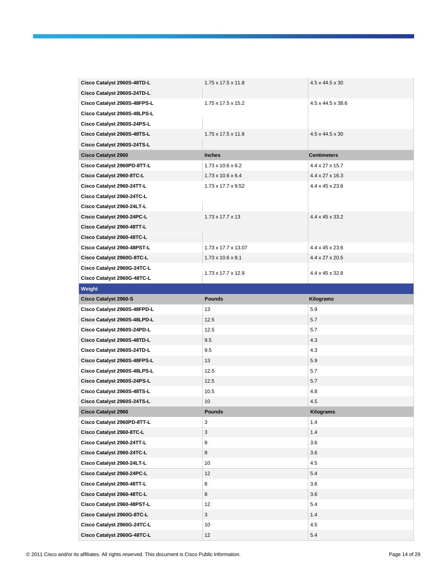| Cisco Catalyst 2960S-48TD-L  | 1.75 x 17.5 x 11.8             | 4.5 x 44.5 x 30    |
|------------------------------|--------------------------------|--------------------|
| Cisco Catalyst 2960S-24TD-L  |                                |                    |
| Cisco Catalyst 2960S-48FPS-L | 1.75 x 17.5 x 15.2             | 4.5 x 44.5 x 38.6  |
| Cisco Catalyst 2960S-48LPS-L |                                |                    |
| Cisco Catalyst 2960S-24PS-L  |                                |                    |
| Cisco Catalyst 2960S-48TS-L  | $1.75 \times 17.5 \times 11.8$ | 4.5 x 44.5 x 30    |
| Cisco Catalyst 2960S-24TS-L  |                                |                    |
| <b>Cisco Catalyst 2960</b>   | <b>Inches</b>                  | <b>Centimeters</b> |
| Cisco Catalyst 2960PD-8TT-L  | $1.73 \times 10.6 \times 6.2$  | 4.4 x 27 x 15.7    |
| Cisco Catalyst 2960-8TC-L    | $1.73 \times 10.6 \times 6.4$  | 4.4 x 27 x 16.3    |
| Cisco Catalyst 2960-24TT-L   | $1.73 \times 17.7 \times 9.52$ | 4.4 x 45 x 23.6    |
| Cisco Catalyst 2960-24TC-L   |                                |                    |
| Cisco Catalyst 2960-24LT-L   |                                |                    |
| Cisco Catalyst 2960-24PC-L   | $1.73 \times 17.7 \times 13$   | 4.4 x 45 x 33.2    |
| Cisco Catalyst 2960-48TT-L   |                                |                    |
| Cisco Catalyst 2960-48TC-L   |                                |                    |
| Cisco Catalyst 2960-48PST-L  | 1.73 x 17.7 x 13.07            | 4.4 x 45 x 23.6    |
| Cisco Catalyst 2960G-8TC-L   | $1.73 \times 10.6 \times 8.1$  | 4.4 x 27 x 20.5    |
| Cisco Catalyst 2960G-24TC-L  | 1.73 x 17.7 x 12.9             | 4.4 x 45 x 32.8    |
| Cisco Catalyst 2960G-48TC-L  |                                |                    |
| Weight                       |                                |                    |
| <b>Cisco Catalyst 2960-S</b> | <b>Pounds</b>                  | Kilograms          |
|                              |                                |                    |
| Cisco Catalyst 2960S-48FPD-L | 13                             | 5.9                |
| Cisco Catalyst 2960S-48LPD-L | 12.5                           | 5.7                |
| Cisco Catalyst 2960S-24PD-L  | 12.5                           | 5.7                |
| Cisco Catalyst 2960S-48TD-L  | 9.5                            | 4.3                |
| Cisco Catalyst 2960S-24TD-L  | 9.5                            | 4.3                |
| Cisco Catalyst 2960S-48FPS-L | 13                             | 5.9                |
| Cisco Catalyst 2960S-48LPS-L | 12.5                           | 5.7                |
| Cisco Catalyst 2960S-24PS-L  | 12.5                           | 5.7                |
| Cisco Catalyst 2960S-48TS-L  | 10.5                           | 4.8                |
| Cisco Catalyst 2960S-24TS-L  | 10                             | 4.5                |
| <b>Cisco Catalyst 2960</b>   | <b>Pounds</b>                  | Kilograms          |
| Cisco Catalyst 2960PD-8TT-L  | 3                              | 1.4                |
| Cisco Catalyst 2960-8TC-L    | 3                              | 1.4                |
| Cisco Catalyst 2960-24TT-L   | 8                              | 3.6                |
| Cisco Catalyst 2960-24TC-L   | 8                              | 3.6                |
| Cisco Catalyst 2960-24LT-L   | 10                             | 4.5                |
| Cisco Catalyst 2960-24PC-L   | 12                             | 5.4                |
| Cisco Catalyst 2960-48TT-L   | 8                              | 3.6                |
| Cisco Catalyst 2960-48TC-L   | 8                              | 3.6                |
| Cisco Catalyst 2960-48PST-L  | 12                             | 5.4                |
| Cisco Catalyst 2960G-8TC-L   | 3                              | 1.4                |
| Cisco Catalyst 2960G-24TC-L  | 10                             | 4.5                |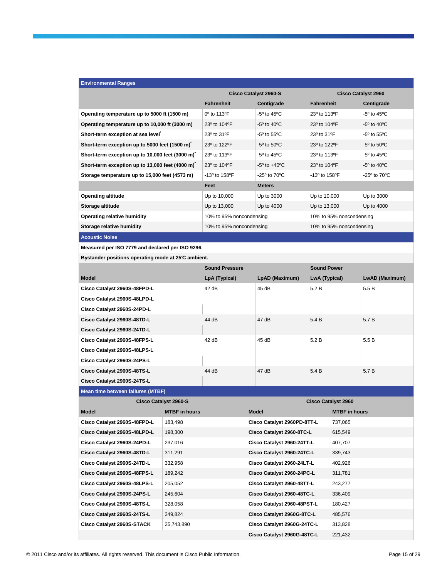| <b>Environmental Ranges</b>                     |                                      |                                   |                            |                                  |  |
|-------------------------------------------------|--------------------------------------|-----------------------------------|----------------------------|----------------------------------|--|
|                                                 | <b>Cisco Catalyst 2960-S</b>         |                                   | <b>Cisco Catalyst 2960</b> |                                  |  |
|                                                 | <b>Fahrenheit</b>                    | Centigrade                        | <b>Fahrenheit</b>          | Centigrade                       |  |
| Operating temperature up to 5000 ft (1500 m)    | 0 <sup>o</sup> to 113 <sup>o</sup> F | $-5^{\circ}$ to 45 $^{\circ}$ C   | 23º to 113ºF               | $-5^{\circ}$ to 45 $^{\circ}$ C  |  |
| Operating temperature up to 10,000 ft (3000 m)  | 23° to 104°F                         | $-5^{\circ}$ to 40 $^{\circ}$ C   | 23° to 104°F               | $-5^{\circ}$ to 40 $^{\circ}$ C  |  |
| Short-term exception at sea level               | 23° to 31°F                          | $-5^{\circ}$ to $55^{\circ}$ C    | 23° to 31°F                | $-5^{\circ}$ to $55^{\circ}$ C   |  |
| Short-term exception up to 5000 feet (1500 m)   | 23º to 122ºF                         | $-5^{\circ}$ to $50^{\circ}$ C    | 23° to 122°F               | $-5^{\circ}$ to $50^{\circ}$ C   |  |
| Short-term exception up to 10,000 feet (3000 m) | 23º to 113ºF                         | $-5^{\circ}$ to 45 $^{\circ}$ C   | 23° to 113°F               | $-5^{\circ}$ to 45 $^{\circ}$ C  |  |
| Short-term exception up to 13,000 feet (4000 m) | 23° to 104°F                         | $-5^{\circ}$ to $+40^{\circ}$ C   | 23° to 104°F               | $-5^{\circ}$ to 40 $^{\circ}$ C  |  |
| Storage temperature up to 15,000 feet (4573 m)  | -13º to 158ºF                        | -25 $^{\circ}$ to 70 $^{\circ}$ C | $-13^{\circ}$ to 158 °F    | $-25^{\circ}$ to 70 $^{\circ}$ C |  |
|                                                 | Feet                                 | <b>Meters</b>                     |                            |                                  |  |
| <b>Operating altitude</b>                       | Up to 10,000                         | Up to 3000                        | Up to 10,000               | Up to 3000                       |  |
| Storage altitude                                | Up to 13,000                         | Up to 4000                        | Up to 13,000               | Up to 4000                       |  |
| <b>Operating relative humidity</b>              | 10% to 95% noncondensing             |                                   | 10% to 95% noncondensing   |                                  |  |
| Storage relative humidity                       |                                      | 10% to 95% noncondensing          |                            | 10% to 95% noncondensing         |  |
| .                                               |                                      |                                   |                            |                                  |  |

**Acoustic Noise** 

**Measured per ISO 7779 and declared per ISO 9296.** 

**Bystander positions operating mode at 25°C ambient.**

|                              | <b>Sound Pressure</b> |                | <b>Sound Power</b> |                |
|------------------------------|-----------------------|----------------|--------------------|----------------|
| <b>Model</b>                 | LpA (Typical)         | LpAD (Maximum) | LwA (Typical)      | LwAD (Maximum) |
| Cisco Catalyst 2960S-48FPD-L | 42 dB                 | 45dB           | 5.2B               | 5.5B           |
| Cisco Catalyst 2960S-48LPD-L |                       |                |                    |                |
| Cisco Catalyst 2960S-24PD-L  |                       |                |                    |                |
| Cisco Catalyst 2960S-48TD-L  | 44 dB                 | 47 dB          | 5.4 B              | 5.7 B          |
| Cisco Catalyst 2960S-24TD-L  |                       |                |                    |                |
| Cisco Catalyst 2960S-48FPS-L | 42 dB                 | 45dB           | 5.2 B              | 5.5B           |
| Cisco Catalyst 2960S-48LPS-L |                       |                |                    |                |
| Cisco Catalyst 2960S-24PS-L  |                       |                |                    |                |
| Cisco Catalyst 2960S-48TS-L  | 44 dB                 | 47dB           | 5.4 B              | 5.7 B          |
| Cisco Catalyst 2960S-24TS-L  |                       |                |                    |                |

**Mean time between failures (MTBF)** 

**Cisco Catalyst 2960-S Cisco Catalyst 2960 Model MTBF in hours Model MTBF in hours Accord Model MTBF in hours** Model MTBF in hours **Cisco Catalyst 2960S-48FPD-L** 183,498 **Cisco Catalyst 2960PD-8TT-L** 737,065 **Cisco Catalyst 2960S-48LPD-L** 198,300 **Cisco Catalyst 2960-8TC-L** 615,549 **Cisco Catalyst 2960S-24PD-L** 237,016 **Cisco Catalyst 2960-24TT-L** 407,707 **Cisco Catalyst 2960S-48TD-L** 311,291 **Cisco Catalyst 2960-24TC-L** 339,743 **Cisco Catalyst 2960S-24TD-L** 332,958 **Cisco Catalyst 2960-24LT-L** 402,926 **Cisco Catalyst 2960S-48FPS-L** 189,242 **Cisco Catalyst 2960-24PC-L** 311,781 **Cisco Catalyst 2960S-48LPS-L** 205,052 **Cisco Catalyst 2960-48TT-L** 243,277 **Cisco Catalyst 2960S-24PS-L** 245,604 **Cisco Catalyst 2960-48TC-L** 336,409 **Cisco Catalyst 2960S-48TS-L** 328,058 **Cisco Catalyst 2960-48PST-L** 180,427 **Cisco Catalyst 2960S-24TS-L** 349,824 **Cisco Catalyst 2960G-8TC-L** 485,576 **Cisco Catalyst 2960S-STACK** 25,743,890 **Cisco Catalyst 2960G-24TC-L** 313,828 **Cisco Catalyst 2960G-48TC-L** 221,432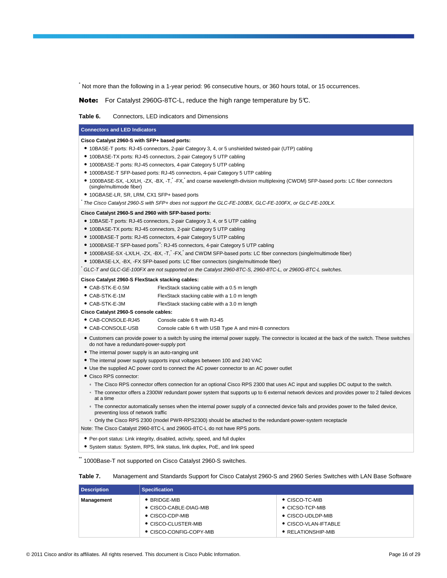\* Not more than the following in a 1-year period: 96 consecutive hours, or 360 hours total, or 15 occurrences.

Note: For Catalyst 2960G-8TC-L, reduce the high range temperature by 5°C.

### **Table 6.** Connectors, LED indicators and Dimensions

#### **Connectors and LED Indicators**

\*

#### **Cisco Catalyst 2960-S with SFP+ based ports:**

- 10BASE-T ports: RJ-45 connectors, 2-pair Category 3, 4, or 5 unshielded twisted-pair (UTP) cabling
- 100BASE-TX ports: RJ-45 connectors, 2-pair Category 5 UTP cabling
- 1000BASE-T ports: RJ-45 connectors, 4-pair Category 5 UTP cabling
- 1000BASE-T SFP-based ports: RJ-45 connectors, 4-pair Category 5 UTP cabling
- 1000BASE-SX, -LX/LH, -ZX, -BX, -T, +FX, and coarse wavelength-division multiplexing (CWDM) SFP-based ports: LC fiber connectors (single/multimode fiber)
- 10GBASE-LR, SR, LRM, CX1 SFP+ based ports
- The Cisco Catalyst 2960-S with SFP+ does not support the GLC-FE-100BX, GLC-FE-100FX, or GLC-FE-100LX.

#### **Cisco Catalyst 2960-S and 2960 with SFP-based ports:**

- 10BASE-T ports: RJ-45 connectors, 2-pair Category 3, 4, or 5 UTP cabling
- 100BASE-TX ports: RJ-45 connectors, 2-pair Category 5 UTP cabling
- 1000BASE-T ports: RJ-45 connectors, 4-pair Category 5 UTP cabling
- 1000BASE-T SFP-based ports\*\*: RJ-45 connectors, 4-pair Category 5 UTP cabling
- 1000BASE-SX -LX/LH, -ZX, -BX, -T, -FX, and CWDM SFP-based ports: LC fiber connectors (single/multimode fiber)
- 100BASE-LX, -BX, -FX SFP-based ports: LC fiber connectors (single/multimode fiber)

\* GLC-T and GLC-GE-100FX are not supported on the Catalyst 2960-8TC-S, 2960-8TC-L, or 2960G-8TC-L switches.

#### **Cisco Catalyst 2960-S FlexStack stacking cables:**

- CAB-STK-E-0.5M FlexStack stacking cable with a 0.5 m length
- CAB-STK-E-1M FlexStack stacking cable with a 1.0 m length
- CAB-STK-E-3M FlexStack stacking cable with a 3.0 m length

**Cisco Catalyst 2960-S console cables:** 

- CAB-CONSOLE-RJ45 Console cable 6 ft with RJ-45
- CAB-CONSOLE-USB Console cable 6 ft with USB Type A and mini-B connectors
- Customers can provide power to a switch by using the internal power supply. The connector is located at the back of the switch. These switches do not have a redundant-power-supply port
- The internal power supply is an auto-ranging unit
- The internal power supply supports input voltages between 100 and 240 VAC
- Use the supplied AC power cord to connect the AC power connector to an AC power outlet
- Cisco RPS connector:
	- The Cisco RPS connector offers connection for an optional Cisco RPS 2300 that uses AC input and supplies DC output to the switch.
	- The connector offers a 2300W redundant power system that supports up to 6 external network devices and provides power to 2 failed devices at a time
	- The connector automatically senses when the internal power supply of a connected device fails and provides power to the failed device, preventing loss of network traffic
- Only the Cisco RPS 2300 (model PWR-RPS2300) should be attached to the redundant-power-system receptacle
- Note: The Cisco Catalyst 2960-8TC-L and 2960G-8TC-L do not have RPS ports.
- Per-port status: Link integrity, disabled, activity, speed, and full duplex
- System status: System, RPS, link status, link duplex, PoE, and link speed

1000Base-T not supported on Cisco Catalyst 2960-S switches.

#### **Table 7.** Management and Standards Support for Cisco Catalyst 2960-S and 2960 Series Switches with LAN Base Software

| <b>Description</b> | <b>Specification</b>    |                            |  |  |  |
|--------------------|-------------------------|----------------------------|--|--|--|
| Management         | $\bullet$ BRIDGE-MIB    | $\bullet$ CISCO-TC-MIB     |  |  |  |
|                    | • CISCO-CABLE-DIAG-MIB  | $\bullet$ CICSO-TCP-MIB    |  |  |  |
|                    | $\bullet$ CISCO-CDP-MIB | $\bullet$ CISCO-UDLDP-MIB  |  |  |  |
|                    | • CISCO-CLUSTER-MIB     | • CISCO-VLAN-IFTABLE       |  |  |  |
|                    | • CISCO-CONFIG-COPY-MIB | $\bullet$ RELATIONSHIP-MIB |  |  |  |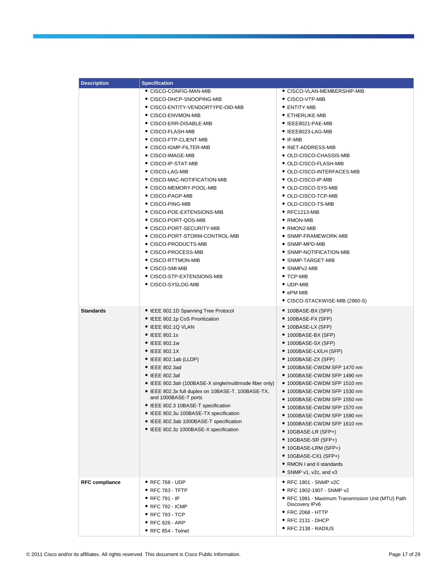| <b>Description</b>    | <b>Specification</b>                                   |                                                   |
|-----------------------|--------------------------------------------------------|---------------------------------------------------|
|                       | • CISCO-CONFIG-MAN-MIB                                 | • CISCO-VLAN-MEMBERSHIP-MIB                       |
|                       | • CISCO-DHCP-SNOOPING-MIB                              | • CISCO-VTP-MIB                                   |
|                       | ● CISCO-ENTITY-VENDORTYPE-OID-MIB                      | $\bullet$ entity-mib                              |
|                       | • CISCO-ENVMON-MIB                                     | • ETHERLIKE-MIB                                   |
|                       | • CISCO-ERR-DISABLE-MIB                                | $\bullet$ IEEE8021-PAE-MIB                        |
|                       | • CISCO-FLASH-MIB                                      | $\bullet$ IEEE8023-LAG-MIB                        |
|                       | • CISCO-FTP-CLIENT-MIB                                 | $\bullet$ IF-MIB                                  |
|                       | • CISCO-IGMP-FILTER-MIB                                | • INET-ADDRESS-MIB                                |
|                       | • CISCO-IMAGE-MIB                                      | $\bullet$ OLD-CISCO-CHASSIS-MIB                   |
|                       | • CISCO-IP-STAT-MIB                                    | • OLD-CISCO-FLASH-MIB                             |
|                       | ● CISCO-LAG-MIB                                        | ● OLD-CISCO-INTERFACES-MIB                        |
|                       | • CISCO-MAC-NOTIFICATION-MIB                           | • OLD-CISCO-IP-MIB                                |
|                       | • CISCO-MEMORY-POOL-MIB                                | • OLD-CISCO-SYS-MIB                               |
|                       | • CISCO-PAGP-MIB                                       | $\bullet$ OLD-CISCO-TCP-MIB                       |
|                       | • CISCO-PING-MIB                                       | $\bullet$ OLD-CISCO-TS-MIB                        |
|                       | ● CISCO-POE-EXTENSIONS-MIB                             | $\bullet$ RFC1213-MIB                             |
|                       | • CISCO-PORT-QOS-MIB                                   | $\bullet$ RMON-MIB                                |
|                       | ● CISCO-PORT-SECURITY-MIB                              | $\bullet$ RMON2-MIB                               |
|                       | • CISCO-PORT-STORM-CONTROL-MIB                         | • SNMP-FRAMEWORK-MIB                              |
|                       | • CISCO-PRODUCTS-MIB                                   | • SNMP-MPD-MIB                                    |
|                       | ● CISCO-PROCESS-MIB                                    | • SNMP-NOTIFICATION-MIB                           |
|                       | • CISCO-RTTMON-MIB                                     | • SNMP-TARGET-MIB                                 |
|                       | ● CISCO-SMI-MIB                                        | • SNMPv2-MIB                                      |
|                       | • CISCO-STP-EXTENSIONS-MIB                             | $\bullet$ TCP-MIB                                 |
|                       | • CISCO-SYSLOG-MIB                                     | • UDP-MIB                                         |
|                       |                                                        | $\bullet$ ePM MIB                                 |
|                       |                                                        | ● CISCO-STACKWISE-MIB (2960-S)                    |
| <b>Standards</b>      | • IEEE 802.1D Spanning Tree Protocol                   | $\bullet$ 100BASE-BX (SFP)                        |
|                       | • IEEE 802.1p CoS Prioritization                       | $\bullet$ 100BASE-FX (SFP)                        |
|                       | $\bullet$ IEEE 802.1Q VLAN                             | $\bullet$ 100BASE-LX (SFP)                        |
|                       | • IEEE 802.1s                                          | ● 1000BASE-BX (SFP)                               |
|                       | • IEEE 802.1w                                          | • 1000BASE-SX (SFP)                               |
|                       | • IEEE 802.1X                                          | $\bullet$ 1000BASE-LX/LH (SFP)                    |
|                       | • IEEE 802.1ab (LLDP)                                  | $\bullet$ 1000BASE-ZX (SFP)                       |
|                       | • IEEE 802.3ad                                         | ● 1000BASE-CWDM SFP 1470 nm                       |
|                       | • IEEE 802.3af                                         | ● 1000BASE-CWDM SFP 1490 nm                       |
|                       | • IEEE 802.3ah (100BASE-X single/multimode fiber only) | ● 1000BASE-CWDM SFP 1510 nm                       |
|                       | • IEEE 802.3x full duplex on 10BASE-T, 100BASE-TX,     | ● 1000BASE-CWDM SFP 1530 nm                       |
|                       | and 1000BASE-T ports                                   | ● 1000BASE-CWDM SFP 1550 nm                       |
|                       | · IEEE 802.3 10BASE-T specification                    | ● 1000BASE-CWDM SFP 1570 nm                       |
|                       | • IEEE 802.3u 100BASE-TX specification                 | ● 1000BASE-CWDM SFP 1590 nm                       |
|                       | • IEEE 802.3ab 1000BASE-T specification                | ● 1000BASE-CWDM SFP 1610 nm                       |
|                       | • IEEE 802.3z 1000BASE-X specification                 | $\bullet$ 10GBASE-LR (SFP+)                       |
|                       |                                                        | ● 10GBASE-SR (SFP+)                               |
|                       |                                                        | ● 10GBASE-LRM (SFP+)                              |
|                       |                                                        | $\bullet$ 10GBASE-CX1 (SFP+)                      |
|                       |                                                        | • RMON I and II standards                         |
|                       |                                                        | • SNMP v1, v2c, and v3                            |
| <b>RFC compliance</b> | • RFC 768 - UDP                                        | • RFC 1901 - SNMP v2C                             |
|                       | • RFC 783 - TFTP                                       | • RFC 1902-1907 - SNMP v2                         |
|                       | • RFC 791 - IP                                         | • RFC 1981 - Maximum Transmission Unit (MTU) Path |
|                       | ● RFC 792 - ICMP                                       | Discovery IPv6                                    |
|                       | ● RFC 793 - TCP                                        | • FRC 2068 - HTTP                                 |
|                       | ● RFC 826 - ARP                                        | • RFC 2131 - DHCP                                 |
|                       | • RFC 854 - Telnet                                     | $\bullet$ RFC 2138 - RADIUS                       |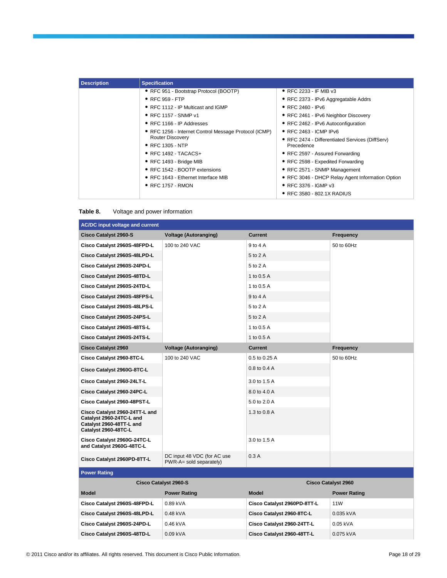| <b>Description</b> | <b>Specification</b>                                  |                                                  |
|--------------------|-------------------------------------------------------|--------------------------------------------------|
|                    | • RFC 951 - Bootstrap Protocol (BOOTP)                | $\bullet$ RFC 2233 - IF MIB v3                   |
|                    | $\bullet$ RFC 959 - FTP                               | • RFC 2373 - IPv6 Aggregatable Addrs             |
|                    | • RFC 1112 - IP Multicast and IGMP                    | • RFC 2460 - IPv6                                |
|                    | • RFC 1157 - SNMP v1                                  | • RFC 2461 - IPv6 Neighbor Discovery             |
|                    | $\bullet$ RFC 1166 - IP Addresses                     | • RFC 2462 - IPv6 Autoconfiguration              |
|                    | • RFC 1256 - Internet Control Message Protocol (ICMP) | $\bullet$ RFC 2463 - ICMP IPv6                   |
|                    | <b>Router Discovery</b>                               | • RFC 2474 - Differentiated Services (DiffServ)  |
|                    | $\bullet$ RFC 1305 - NTP                              | Precedence                                       |
|                    | $\bullet$ RFC 1492 - TACACS+                          | • RFC 2597 - Assured Forwarding                  |
|                    | • RFC 1493 - Bridge MIB                               | • RFC 2598 - Expedited Forwarding                |
|                    | • RFC 1542 - BOOTP extensions                         | • RFC 2571 - SNMP Management                     |
|                    | • RFC 1643 - Ethernet Interface MIB                   | • RFC 3046 - DHCP Relay Agent Information Option |
|                    | $\bullet$ RFC 1757 - RMON                             | • RFC 3376 - IGMP v3                             |
|                    |                                                       | ● RFC 3580 - 802.1X RADIUS                       |

### **Table 8.** Voltage and power information

| <b>AC/DC input voltage and current</b>                                                                         |                                                        |                             |                     |  |
|----------------------------------------------------------------------------------------------------------------|--------------------------------------------------------|-----------------------------|---------------------|--|
| <b>Cisco Catalyst 2960-S</b>                                                                                   | <b>Voltage (Autoranging)</b>                           | <b>Current</b>              | <b>Frequency</b>    |  |
| Cisco Catalyst 2960S-48FPD-L                                                                                   | 100 to 240 VAC                                         | $9$ to $4$ A                | 50 to 60Hz          |  |
| Cisco Catalyst 2960S-48LPD-L                                                                                   |                                                        | 5 to 2 A                    |                     |  |
| Cisco Catalyst 2960S-24PD-L                                                                                    |                                                        | 5 to 2 A                    |                     |  |
| Cisco Catalyst 2960S-48TD-L                                                                                    |                                                        | 1 to 0.5 A                  |                     |  |
| Cisco Catalyst 2960S-24TD-L                                                                                    |                                                        | 1 to 0.5 A                  |                     |  |
| Cisco Catalyst 2960S-48FPS-L                                                                                   |                                                        | 9 to 4 A                    |                     |  |
| Cisco Catalyst 2960S-48LPS-L                                                                                   |                                                        | 5 to 2 A                    |                     |  |
| Cisco Catalyst 2960S-24PS-L                                                                                    |                                                        | 5 to 2 A                    |                     |  |
| Cisco Catalyst 2960S-48TS-L                                                                                    |                                                        | 1 to 0.5 A                  |                     |  |
| Cisco Catalyst 2960S-24TS-L                                                                                    |                                                        | 1 to 0.5 A                  |                     |  |
| <b>Cisco Catalyst 2960</b>                                                                                     | <b>Voltage (Autoranging)</b>                           | <b>Current</b>              | <b>Frequency</b>    |  |
| Cisco Catalyst 2960-8TC-L                                                                                      | 100 to 240 VAC                                         | 0.5 to 0.25 A               | 50 to 60Hz          |  |
| Cisco Catalyst 2960G-8TC-L                                                                                     |                                                        | 0.8 to 0.4 A                |                     |  |
| Cisco Catalyst 2960-24LT-L                                                                                     |                                                        | 3.0 to 1.5 A                |                     |  |
| Cisco Catalyst 2960-24PC-L                                                                                     |                                                        | 8.0 to 4.0 A                |                     |  |
| Cisco Catalyst 2960-48PST-L                                                                                    |                                                        | 5.0 to 2.0 A                |                     |  |
| Cisco Catalyst 2960-24TT-L and<br>Catalyst 2960-24TC-L and<br>Catalyst 2960-48TT-L and<br>Catalyst 2960-48TC-L |                                                        | 1.3 to 0.8 A                |                     |  |
| Cisco Catalyst 2960G-24TC-L<br>and Catalyst 2960G-48TC-L                                                       |                                                        | 3.0 to 1.5 A                |                     |  |
| Cisco Catalyst 2960PD-8TT-L                                                                                    | DC input 48 VDC (for AC use<br>PWR-A= sold separately) | 0.3A                        |                     |  |
| <b>Power Rating</b>                                                                                            |                                                        |                             |                     |  |
|                                                                                                                | <b>Cisco Catalyst 2960-S</b>                           | <b>Cisco Catalyst 2960</b>  |                     |  |
| <b>Model</b>                                                                                                   | <b>Power Rating</b>                                    | <b>Model</b>                | <b>Power Rating</b> |  |
| Cisco Catalyst 2960S-48FPD-L                                                                                   | 0.89 kVA                                               | Cisco Catalyst 2960PD-8TT-L | 11 <sub>W</sub>     |  |
| Cisco Catalyst 2960S-48LPD-L                                                                                   | 0.48 kVA                                               | Cisco Catalyst 2960-8TC-L   | 0.035 kVA           |  |
| Cisco Catalyst 2960S-24PD-L                                                                                    | 0.46 kVA                                               | Cisco Catalyst 2960-24TT-L  | 0.05 kVA            |  |

**Cisco Catalyst 2960S-48TD-L** 0.09 kVA **Cisco Catalyst 2960-48TT-L** 0.075 kVA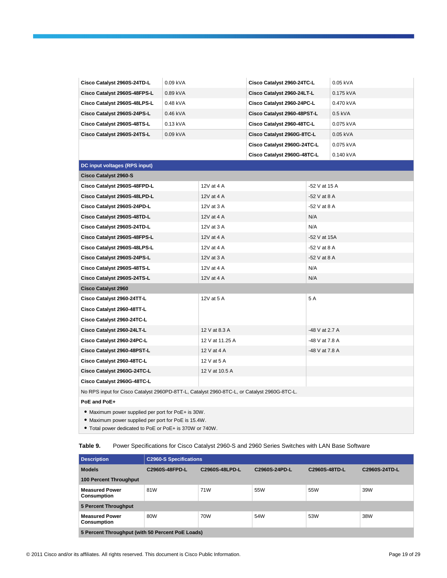| Cisco Catalyst 2960S-24TD-L                                                                               | 0.09 kVA |                 | Cisco Catalyst 2960-24TC-L  |                | 0.05 kVA  |
|-----------------------------------------------------------------------------------------------------------|----------|-----------------|-----------------------------|----------------|-----------|
| Cisco Catalyst 2960S-48FPS-L                                                                              | 0.89 kVA |                 | Cisco Catalyst 2960-24LT-L  |                | 0.175 kVA |
| Cisco Catalyst 2960S-48LPS-L                                                                              | 0.48 kVA |                 | Cisco Catalyst 2960-24PC-L  |                | 0.470 kVA |
| Cisco Catalyst 2960S-24PS-L                                                                               | 0.46 kVA |                 | Cisco Catalyst 2960-48PST-L |                | 0.5 kVA   |
| Cisco Catalyst 2960S-48TS-L                                                                               | 0.13 kVA |                 | Cisco Catalyst 2960-48TC-L  |                | 0.075 kVA |
| Cisco Catalyst 2960S-24TS-L                                                                               | 0.09 kVA |                 | Cisco Catalyst 2960G-8TC-L  |                | 0.05 kVA  |
|                                                                                                           |          |                 | Cisco Catalyst 2960G-24TC-L |                | 0.075 kVA |
|                                                                                                           |          |                 | Cisco Catalyst 2960G-48TC-L |                | 0.140 kVA |
| DC input voltages (RPS input)                                                                             |          |                 |                             |                |           |
| <b>Cisco Catalyst 2960-S</b>                                                                              |          |                 |                             |                |           |
| Cisco Catalyst 2960S-48FPD-L                                                                              |          | 12V at 4 A      |                             | -52 V at 15 A  |           |
| Cisco Catalyst 2960S-48LPD-L                                                                              |          | 12V at 4 A      |                             | -52 V at 8 A   |           |
| Cisco Catalyst 2960S-24PD-L                                                                               |          | 12V at 3 A      |                             | $-52$ V at 8 A |           |
| Cisco Catalyst 2960S-48TD-L                                                                               |          | 12V at 4 A      |                             | N/A            |           |
| Cisco Catalyst 2960S-24TD-L                                                                               |          | 12V at 3 A      |                             | N/A            |           |
| Cisco Catalyst 2960S-48FPS-L                                                                              |          | 12V at 4 A      |                             | -52 V at 15A   |           |
| Cisco Catalyst 2960S-48LPS-L                                                                              |          | 12V at 4 A      |                             | -52 V at 8 A   |           |
| Cisco Catalyst 2960S-24PS-L                                                                               |          | 12V at 3 A      |                             | -52 V at 8 A   |           |
| Cisco Catalyst 2960S-48TS-L                                                                               |          | 12V at 4 A      |                             | N/A            |           |
| Cisco Catalyst 2960S-24TS-L                                                                               |          | 12V at 4 A      |                             | N/A            |           |
| <b>Cisco Catalyst 2960</b>                                                                                |          |                 |                             |                |           |
| Cisco Catalyst 2960-24TT-L                                                                                |          | 12V at 5 A      |                             | 5 A            |           |
| Cisco Catalyst 2960-48TT-L                                                                                |          |                 |                             |                |           |
| Cisco Catalyst 2960-24TC-L                                                                                |          |                 |                             |                |           |
| Cisco Catalyst 2960-24LT-L                                                                                |          | 12 V at 8.3 A   |                             | -48 V at 2.7 A |           |
| Cisco Catalyst 2960-24PC-L                                                                                |          | 12 V at 11.25 A |                             | -48 V at 7.8 A |           |
| Cisco Catalyst 2960-48PST-L                                                                               |          | 12 V at 4 A     |                             | -48 V at 7.8 A |           |
| Cisco Catalyst 2960-48TC-L                                                                                |          | 12 V at 5 A     |                             |                |           |
| Cisco Catalyst 2960G-24TC-L                                                                               |          | 12 V at 10.5 A  |                             |                |           |
| Cisco Catalyst 2960G-48TC-L                                                                               |          |                 |                             |                |           |
| No RPS input for Cisco Catalyst 2960PD-8TT-L, Catalyst 2960-8TC-L, or Catalyst 2960G-8TC-L.               |          |                 |                             |                |           |
| PoE and PoE+                                                                                              |          |                 |                             |                |           |
| • Maximum power supplied per port for PoE+ is 30W.<br>• Maximum power supplied per port for PoE is 15.4W. |          |                 |                             |                |           |

● Total power dedicated to PoE or PoE+ is 370W or 740W.

# **Table 9.** Power Specifications for Cisco Catalyst 2960-S and 2960 Series Switches with LAN Base Software

| <b>Description</b>                               | <b>C2960-S Specifications</b> |                |               |               |               |  |
|--------------------------------------------------|-------------------------------|----------------|---------------|---------------|---------------|--|
| <b>Models</b>                                    | C2960S-48FPD-L                | C2960S-48LPD-L | C2960S-24PD-L | C2960S-48TD-L | C2960S-24TD-L |  |
| <b>100 Percent Throughput</b>                    |                               |                |               |               |               |  |
| <b>Measured Power</b><br><b>Consumption</b>      | 81W                           | 71W            | 55W           | 55W           | 39W           |  |
| 5 Percent Throughput                             |                               |                |               |               |               |  |
| <b>Measured Power</b><br><b>Consumption</b>      | 80W                           | 70W            | 54W           | 53W           | 38W           |  |
| 5 Percent Throughput (with 50 Percent PoE Loads) |                               |                |               |               |               |  |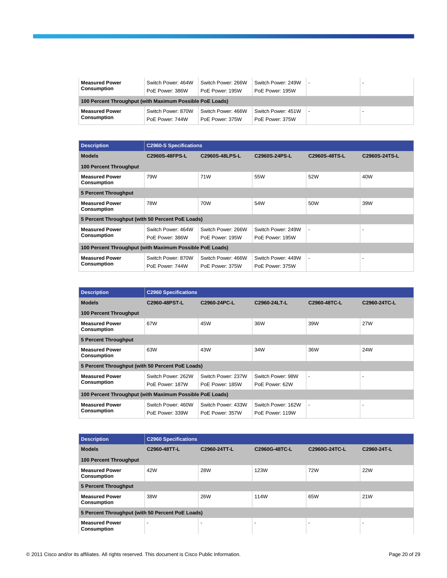| <b>Measured Power</b><br>Consumption                     | Switch Power: 464W<br>PoE Power: 386W | Switch Power: 266W<br>PoE Power: 195W | Switch Power: 249W<br>PoE Power: 195W |  |  |  |
|----------------------------------------------------------|---------------------------------------|---------------------------------------|---------------------------------------|--|--|--|
| 100 Percent Throughput (with Maximum Possible PoE Loads) |                                       |                                       |                                       |  |  |  |
| <b>Measured Power</b><br>Consumption                     | Switch Power: 870W<br>PoE Power: 744W | Switch Power: 466W<br>PoE Power: 375W | Switch Power: 451W<br>PoE Power: 375W |  |  |  |

| <b>Description</b>                                       | <b>C2960-S Specifications</b>         |                                       |                                       |               |               |  |
|----------------------------------------------------------|---------------------------------------|---------------------------------------|---------------------------------------|---------------|---------------|--|
| <b>Models</b>                                            | C2960S-48FPS-L                        | C2960S-48LPS-L                        | C2960S-24PS-L                         | C2960S-48TS-L | C2960S-24TS-L |  |
| <b>100 Percent Throughput</b>                            |                                       |                                       |                                       |               |               |  |
| <b>Measured Power</b><br>Consumption                     | 79W                                   | 71W                                   | 55W                                   | 52W           | 40W           |  |
| 5 Percent Throughput                                     |                                       |                                       |                                       |               |               |  |
| <b>Measured Power</b><br><b>Consumption</b>              | 78W                                   | 70W                                   | 54W                                   | 50W           | 39W           |  |
| 5 Percent Throughput (with 50 Percent PoE Loads)         |                                       |                                       |                                       |               |               |  |
| <b>Measured Power</b><br>Consumption                     | Switch Power: 464W<br>PoE Power: 386W | Switch Power: 266W<br>PoE Power: 195W | Switch Power: 249W<br>PoE Power: 195W | ٠             | ٠             |  |
|                                                          |                                       |                                       |                                       |               |               |  |
| 100 Percent Throughput (with Maximum Possible PoE Loads) |                                       |                                       |                                       |               |               |  |
| <b>Measured Power</b>                                    | Switch Power: 870W                    | Switch Power: 466W                    | Switch Power: 449W                    | ٠             | ٠             |  |
| Consumption                                              | PoE Power: 744W                       | PoE Power: 375W                       | PoE Power: 375W                       |               |               |  |

| <b>Description</b>                                       | <b>C2960 Specifications</b>           |                                       |                                       |                |                          |  |  |
|----------------------------------------------------------|---------------------------------------|---------------------------------------|---------------------------------------|----------------|--------------------------|--|--|
| <b>Models</b>                                            | C2960-48PST-L                         | C2960-24PC-L                          | C2960-24LT-L                          | C2960-48TC-L   | C2960-24TC-L             |  |  |
| <b>100 Percent Throughput</b>                            |                                       |                                       |                                       |                |                          |  |  |
| <b>Measured Power</b><br><b>Consumption</b>              | 67W                                   | 45W                                   | 36W                                   | 39W            | <b>27W</b>               |  |  |
| 5 Percent Throughput                                     |                                       |                                       |                                       |                |                          |  |  |
| <b>Measured Power</b><br>Consumption                     | 63W                                   | 43W                                   | 34W                                   | 36W            | 24W                      |  |  |
| 5 Percent Throughput (with 50 Percent PoE Loads)         |                                       |                                       |                                       |                |                          |  |  |
| <b>Measured Power</b>                                    | Switch Power: 262W                    | Switch Power: 237W                    | Switch Power: 98W                     | $\sim$         | $\overline{\phantom{a}}$ |  |  |
| <b>Consumption</b>                                       | PoE Power: 187W                       | PoE Power: 185W                       | PoE Power: 62W                        |                |                          |  |  |
| 100 Percent Throughput (with Maximum Possible PoE Loads) |                                       |                                       |                                       |                |                          |  |  |
| <b>Measured Power</b><br>Consumption                     | Switch Power: 460W<br>PoE Power: 339W | Switch Power: 433W<br>PoE Power: 357W | Switch Power: 162W<br>PoE Power: 119W | $\blacksquare$ | $\overline{\phantom{0}}$ |  |  |

| <b>Description</b>                               | <b>C2960 Specifications</b> |                          |                          |                          |             |  |
|--------------------------------------------------|-----------------------------|--------------------------|--------------------------|--------------------------|-------------|--|
| <b>Models</b>                                    | C2960-48TT-L                | C2960-24TT-L             | C2960G-48TC-L            | C2960G-24TC-L            | C2960-24T-L |  |
| <b>100 Percent Throughput</b>                    |                             |                          |                          |                          |             |  |
| <b>Measured Power</b><br><b>Consumption</b>      | 42W                         | <b>28W</b>               | <b>123W</b>              | 72W                      | <b>22W</b>  |  |
| 5 Percent Throughput                             |                             |                          |                          |                          |             |  |
| <b>Measured Power</b><br><b>Consumption</b>      | 38W                         | <b>26W</b>               | 114W                     | 65W                      | 21W         |  |
| 5 Percent Throughput (with 50 Percent PoE Loads) |                             |                          |                          |                          |             |  |
| <b>Measured Power</b><br><b>Consumption</b>      | $\overline{\phantom{0}}$    | $\overline{\phantom{0}}$ | $\overline{\phantom{a}}$ | $\overline{\phantom{a}}$ | -           |  |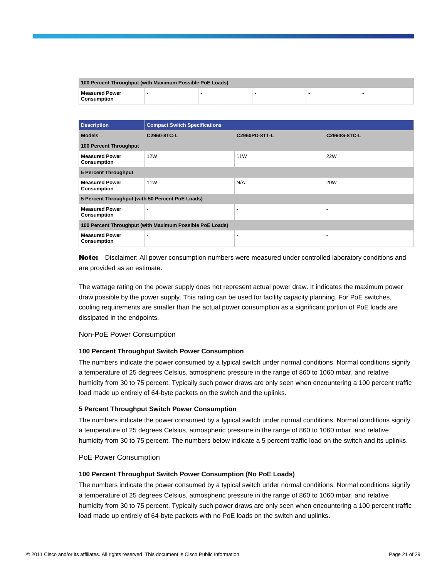| 100 Percent Throughput (with Maximum Possible PoE Loads) |  |  |  |  |  |
|----------------------------------------------------------|--|--|--|--|--|
| <b>Measured Power</b><br><b>Consumption</b>              |  |  |  |  |  |

| <b>Description</b>                                       | <b>Compact Switch Specifications</b> |                 |                |
|----------------------------------------------------------|--------------------------------------|-----------------|----------------|
| <b>Models</b>                                            | C2960-8TC-L                          | C2960PD-8TT-L   | C2960G-8TC-L   |
| <b>100 Percent Throughput</b>                            |                                      |                 |                |
| <b>Measured Power</b><br><b>Consumption</b>              | <b>12W</b>                           | 11 <sub>W</sub> | <b>22W</b>     |
| 5 Percent Throughput                                     |                                      |                 |                |
| <b>Measured Power</b><br><b>Consumption</b>              | <b>11W</b>                           | N/A             | <b>20W</b>     |
| 5 Percent Throughput (with 50 Percent PoE Loads)         |                                      |                 |                |
| <b>Measured Power</b><br><b>Consumption</b>              | $\overline{\phantom{a}}$             | $\overline{a}$  | $\blacksquare$ |
| 100 Percent Throughput (with Maximum Possible PoE Loads) |                                      |                 |                |
| <b>Measured Power</b><br><b>Consumption</b>              | $\blacksquare$                       | ٠               |                |

Note: Disclaimer: All power consumption numbers were measured under controlled laboratory conditions and are provided as an estimate.

The wattage rating on the power supply does not represent actual power draw. It indicates the maximum power draw possible by the power supply. This rating can be used for facility capacity planning. For PoE switches, cooling requirements are smaller than the actual power consumption as a significant portion of PoE loads are dissipated in the endpoints.

Non-PoE Power Consumption

### **100 Percent Throughput Switch Power Consumption**

The numbers indicate the power consumed by a typical switch under normal conditions. Normal conditions signify a temperature of 25 degrees Celsius, atmospheric pressure in the range of 860 to 1060 mbar, and relative humidity from 30 to 75 percent. Typically such power draws are only seen when encountering a 100 percent traffic load made up entirely of 64-byte packets on the switch and the uplinks.

### **5 Percent Throughput Switch Power Consumption**

The numbers indicate the power consumed by a typical switch under normal conditions. Normal conditions signify a temperature of 25 degrees Celsius, atmospheric pressure in the range of 860 to 1060 mbar, and relative humidity from 30 to 75 percent. The numbers below indicate a 5 percent traffic load on the switch and its uplinks.

PoE Power Consumption

### **100 Percent Throughput Switch Power Consumption (No PoE Loads)**

The numbers indicate the power consumed by a typical switch under normal conditions. Normal conditions signify a temperature of 25 degrees Celsius, atmospheric pressure in the range of 860 to 1060 mbar, and relative humidity from 30 to 75 percent. Typically such power draws are only seen when encountering a 100 percent traffic load made up entirely of 64-byte packets with no PoE loads on the switch and uplinks.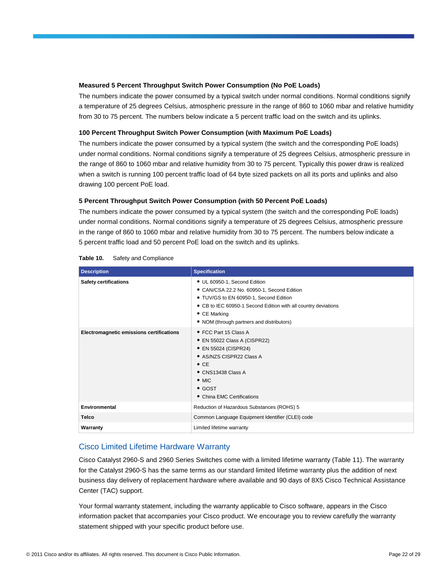### **Measured 5 Percent Throughput Switch Power Consumption (No PoE Loads)**

The numbers indicate the power consumed by a typical switch under normal conditions. Normal conditions signify a temperature of 25 degrees Celsius, atmospheric pressure in the range of 860 to 1060 mbar and relative humidity from 30 to 75 percent. The numbers below indicate a 5 percent traffic load on the switch and its uplinks.

### **100 Percent Throughput Switch Power Consumption (with Maximum PoE Loads)**

The numbers indicate the power consumed by a typical system (the switch and the corresponding PoE loads) under normal conditions. Normal conditions signify a temperature of 25 degrees Celsius, atmospheric pressure in the range of 860 to 1060 mbar and relative humidity from 30 to 75 percent. Typically this power draw is realized when a switch is running 100 percent traffic load of 64 byte sized packets on all its ports and uplinks and also drawing 100 percent PoE load.

### **5 Percent Throughput Switch Power Consumption (with 50 Percent PoE Loads)**

The numbers indicate the power consumed by a typical system (the switch and the corresponding PoE loads) under normal conditions. Normal conditions signify a temperature of 25 degrees Celsius, atmospheric pressure in the range of 860 to 1060 mbar and relative humidity from 30 to 75 percent. The numbers below indicate a 5 percent traffic load and 50 percent PoE load on the switch and its uplinks.

| <b>Description</b>                       | <b>Specification</b>                                                                                                                                                                                                                                        |
|------------------------------------------|-------------------------------------------------------------------------------------------------------------------------------------------------------------------------------------------------------------------------------------------------------------|
| <b>Safety certifications</b>             | • UL 60950-1, Second Edition<br>• CAN/CSA 22.2 No. 60950-1, Second Edition<br>• TUV/GS to EN 60950-1, Second Edition<br>• CB to IEC 60950-1 Second Edition with all country deviations<br>$\bullet$ CE Marking<br>• NOM (through partners and distributors) |
| Electromagnetic emissions certifications | • FCC Part 15 Class A<br>• EN 55022 Class A (CISPR22)<br>• EN 55024 (CISPR24)<br>• AS/NZS CISPR22 Class A<br>$\bullet$ CE<br>$\bullet$ CNS13438 Class A<br>$\bullet$ MIC<br>$\bullet$ GOST<br>• China EMC Certifications                                    |
| Environmental                            | Reduction of Hazardous Substances (ROHS) 5                                                                                                                                                                                                                  |
| <b>Telco</b>                             | Common Language Equipment Identifier (CLEI) code                                                                                                                                                                                                            |
| Warranty                                 | Limited lifetime warranty                                                                                                                                                                                                                                   |

### **Table 10.** Safety and Compliance

# Cisco Limited Lifetime Hardware Warranty

Cisco Catalyst 2960-S and 2960 Series Switches come with a limited lifetime warranty (Table 11). The warranty for the Catalyst 2960-S has the same terms as our standard limited lifetime warranty plus the addition of next business day delivery of replacement hardware where available and 90 days of 8X5 Cisco Technical Assistance Center (TAC) support.

Your formal warranty statement, including the warranty applicable to Cisco software, appears in the Cisco information packet that accompanies your Cisco product. We encourage you to review carefully the warranty statement shipped with your specific product before use.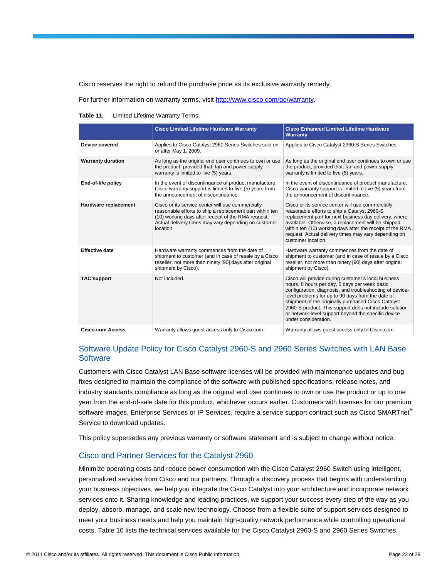Cisco reserves the right to refund the purchase price as its exclusive warranty remedy.

For further information on warranty terms, visit [http://www.cisco.com/go/warranty.](http://www.cisco.com/go/warranty)

#### **Table 11.** Limited Lifetime Warranty Terms

|                          | <b>Cisco Limited Lifetime Hardware Warranty</b>                                                                                                                                                                                           | <b>Cisco Enhanced Limited Lifetime Hardware</b><br><b>Warranty</b>                                                                                                                                                                                                                                                                                                                                                    |
|--------------------------|-------------------------------------------------------------------------------------------------------------------------------------------------------------------------------------------------------------------------------------------|-----------------------------------------------------------------------------------------------------------------------------------------------------------------------------------------------------------------------------------------------------------------------------------------------------------------------------------------------------------------------------------------------------------------------|
| Device covered           | Applies to Cisco Catalyst 2960 Series Switches sold on<br>or after May 1, 2009.                                                                                                                                                           | Applies to Cisco Catalyst 2960-S Series Switches.                                                                                                                                                                                                                                                                                                                                                                     |
| <b>Warranty duration</b> | As long as the original end user continues to own or use<br>the product, provided that: fan and power supply<br>warranty is limited to five (5) years.                                                                                    | As long as the original end user continues to own or use<br>the product, provided that: fan and power supply<br>warranty is limited to five (5) years.                                                                                                                                                                                                                                                                |
| End-of-life policy       | In the event of discontinuance of product manufacture,<br>Cisco warranty support is limited to five (5) years from<br>the announcement of discontinuance.                                                                                 | In the event of discontinuance of product manufacture,<br>Cisco warranty support is limited to five (5) years from<br>the announcement of discontinuance.                                                                                                                                                                                                                                                             |
| Hardware replacement     | Cisco or its service center will use commercially<br>reasonable efforts to ship a replacement part within ten<br>(10) working days after receipt of the RMA request.<br>Actual delivery times may vary depending on customer<br>location. | Cisco or its service center will use commercially<br>reasonable efforts to ship a Catalyst 2960-S<br>replacement part for next business day delivery, where<br>available. Otherwise, a replacement will be shipped<br>within ten (10) working days after the receipt of the RMA<br>request. Actual delivery times may vary depending on<br>customer location.                                                         |
| <b>Effective date</b>    | Hardware warranty commences from the date of<br>shipment to customer (and in case of resale by a Cisco<br>reseller, not more than ninety [90] days after original<br>shipment by Cisco).                                                  | Hardware warranty commences from the date of<br>shipment to customer (and in case of resale by a Cisco<br>reseller, not more than ninety [90] days after original<br>shipment by Cisco).                                                                                                                                                                                                                              |
| <b>TAC support</b>       | Not included.                                                                                                                                                                                                                             | Cisco will provide during customer's local business<br>hours, 8 hours per day, 5 days per week basic<br>configuration, diagnosis, and troubleshooting of device-<br>level problems for up to 90 days from the date of<br>shipment of the originally purchased Cisco Catalyst<br>2960-S product. This support does not include solution<br>or network-level support beyond the specific device<br>under consideration. |
| <b>Cisco.com Access</b>  | Warranty allows quest access only to Cisco.com                                                                                                                                                                                            | Warranty allows quest access only to Cisco.com                                                                                                                                                                                                                                                                                                                                                                        |

# Software Update Policy for Cisco Catalyst 2960-S and 2960 Series Switches with LAN Base **Software**

Customers with Cisco Catalyst LAN Base software licenses will be provided with maintenance updates and bug fixes designed to maintain the compliance of the software with published specifications, release notes, and industry standards compliance as long as the original end user continues to own or use the product or up to one year from the end-of-sale date for this product, whichever occurs earlier. Customers with licenses for our premium software images, Enterprise Services or IP Services, require a service support contract such as Cisco SMARTnet<sup>®</sup> Service to download updates.

This policy supersedes any previous warranty or software statement and is subject to change without notice.

# Cisco and Partner Services for the Catalyst 2960

Minimize operating costs and reduce power consumption with the Cisco Catalyst 2960 Switch using intelligent, personalized services from Cisco and our partners. Through a discovery process that begins with understanding your business objectives, we help you integrate the Cisco Catalyst into your architecture and incorporate network services onto it. Sharing knowledge and leading practices, we support your success every step of the way as you deploy, absorb, manage, and scale new technology. Choose from a flexible suite of support services designed to meet your business needs and help you maintain high-quality network performance while controlling operational costs. Table 10 lists the technical services available for the Cisco Catalyst 2960-S and 2960 Series Switches.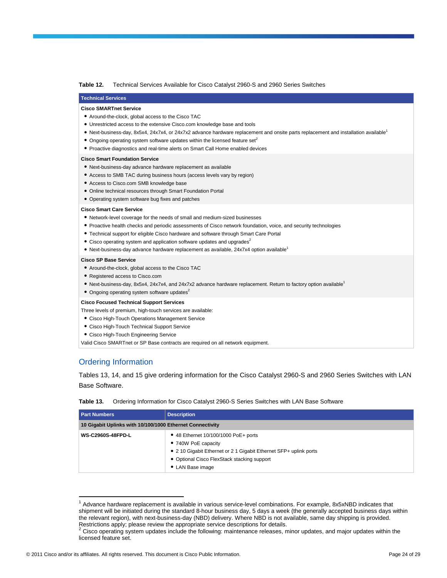#### **Table 12.** Technical Services Available for Cisco Catalyst 2960-S and 2960 Series Switches

### **Technical Services Cisco SMARTnet Service**

#### ● Around-the-clock, global access to the Cisco TAC

- Unrestricted access to the extensive Cisco.com knowledge base and tools
- Next-business-day, 8x5x4, 24x7x4, or 24x7x2 advance hardware replacement and onsite parts replacement and installation available<sup>1</sup>
- $\bullet$  Ongoing operating system software updates within the licensed feature set<sup>2</sup>
- Proactive diagnostics and real-time alerts on Smart Call Home enabled devices

#### **Cisco Smart Foundation Service**

- Next-business-day advance hardware replacement as available
- Access to SMB TAC during business hours (access levels vary by region)
- Access to Cisco.com SMB knowledge base
- Online technical resources through Smart Foundation Portal
- Operating system software bug fixes and patches

#### **Cisco Smart Care Service**

- Network-level coverage for the needs of small and medium-sized businesses
- Proactive health checks and periodic assessments of Cisco network foundation, voice, and security technologies
- Technical support for eligible Cisco hardware and software through Smart Care Portal
- Cisco operating system and application software updates and upgrades<sup>2</sup>
- $\bullet$  Next-business-day advance hardware replacement as available, 24x7x4 option available<sup>1</sup>

#### **Cisco SP Base Service**

- Around-the-clock, global access to the Cisco TAC
- Registered access to Cisco.com
- Next-business-day, 8x5x4, 24x7x4, and 24x7x2 advance hardware replacement. Return to factory option available<sup>1</sup>
- Ongoing operating system software updates<sup>2</sup>

#### **Cisco Focused Technical Support Services**

Three levels of premium, high-touch services are available:

- Cisco High-Touch Operations Management Service
- Cisco High-Touch Technical Support Service
- Cisco High-Touch Engineering Service

Valid Cisco SMARTnet or SP Base contracts are required on all network equipment.

### Ordering Information

 $\overline{\phantom{a}}$ 

Tables 13, 14, and 15 give ordering information for the Cisco Catalyst 2960-S and 2960 Series Switches with LAN Base Software.

#### **Table 13.** Ordering Information for Cisco Catalyst 2960-S Series Switches with LAN Base Software

| <b>Part Numbers</b>                                       | <b>Description</b>                                                                                                                                                                                  |
|-----------------------------------------------------------|-----------------------------------------------------------------------------------------------------------------------------------------------------------------------------------------------------|
| 10 Gigabit Uplinks with 10/100/1000 Ethernet Connectivity |                                                                                                                                                                                                     |
| <b>WS-C2960S-48FPD-L</b>                                  | • 48 Ethernet 10/100/1000 PoE+ ports<br>• 740W PoE capacity<br>• 2 10 Gigabit Ethernet or 2 1 Gigabit Ethernet SFP+ uplink ports<br>• Optional Cisco FlexStack stacking support<br>• LAN Base image |

<sup>&</sup>lt;sup>1</sup> Advance hardware replacement is available in various service-level combinations. For example, 8x5xNBD indicates that shipment will be initiated during the standard 8-hour business day, 5 days a week (the generally accepted business days within the relevant region), with next-business-day (NBD) delivery. Where NBD is not available, same day shipping is provided. Restrictions apply; please review the appropriate service descriptions for details.<br><sup>2</sup> Cisco operating system undates include the following: maintenance releases m

Cisco operating system updates include the following: maintenance releases, minor updates, and major updates within the licensed feature set.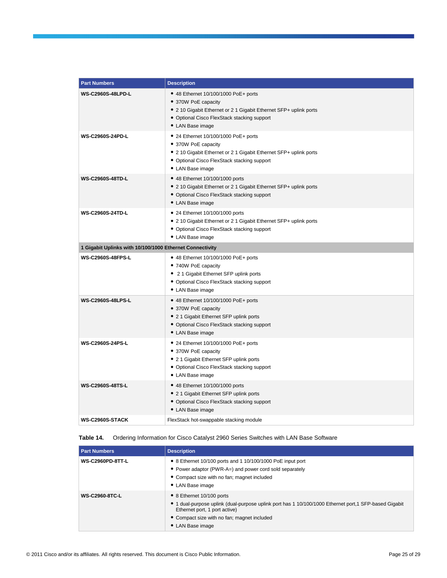| <b>Part Numbers</b>                                      | <b>Description</b>                                                                                                                                                                                  |
|----------------------------------------------------------|-----------------------------------------------------------------------------------------------------------------------------------------------------------------------------------------------------|
| <b>WS-C2960S-48LPD-L</b>                                 | • 48 Ethernet 10/100/1000 PoE+ ports<br>• 370W PoE capacity<br>• 2 10 Gigabit Ethernet or 2 1 Gigabit Ethernet SFP+ uplink ports<br>• Optional Cisco FlexStack stacking support<br>• LAN Base image |
| WS-C2960S-24PD-L                                         | • 24 Ethernet 10/100/1000 PoE+ ports<br>• 370W PoE capacity<br>• 2 10 Gigabit Ethernet or 2 1 Gigabit Ethernet SFP+ uplink ports<br>· Optional Cisco FlexStack stacking support<br>• LAN Base image |
| <b>WS-C2960S-48TD-L</b>                                  | • 48 Ethernet 10/100/1000 ports<br>• 2 10 Gigabit Ethernet or 2 1 Gigabit Ethernet SFP+ uplink ports<br>• Optional Cisco FlexStack stacking support<br>• LAN Base image                             |
| <b>WS-C2960S-24TD-L</b>                                  | • 24 Ethernet 10/100/1000 ports<br>• 2 10 Gigabit Ethernet or 2 1 Gigabit Ethernet SFP+ uplink ports<br>• Optional Cisco FlexStack stacking support<br>• LAN Base image                             |
| 1 Gigabit Uplinks with 10/100/1000 Ethernet Connectivity |                                                                                                                                                                                                     |
| <b>WS-C2960S-48FPS-L</b>                                 | • 48 Ethernet 10/100/1000 PoE+ ports<br>• 740W PoE capacity<br>• 2 1 Gigabit Ethernet SFP uplink ports<br>• Optional Cisco FlexStack stacking support<br>• LAN Base image                           |
| <b>WS-C2960S-48LPS-L</b>                                 | • 48 Ethernet 10/100/1000 PoE+ ports<br>• 370W PoE capacity<br>• 2 1 Gigabit Ethernet SFP uplink ports<br>• Optional Cisco FlexStack stacking support<br>• LAN Base image                           |
| WS-C2960S-24PS-L                                         | • 24 Ethernet 10/100/1000 PoE+ ports<br>• 370W PoE capacity<br>• 2 1 Gigabit Ethernet SFP uplink ports<br>• Optional Cisco FlexStack stacking support<br>• LAN Base image                           |
| WS-C2960S-48TS-L                                         | • 48 Ethernet 10/100/1000 ports<br>• 2 1 Gigabit Ethernet SFP uplink ports<br>• Optional Cisco FlexStack stacking support<br>• LAN Base image                                                       |
| WS-C2960S-STACK                                          | FlexStack hot-swappable stacking module                                                                                                                                                             |

# **Table 14.** Ordering Information for Cisco Catalyst 2960 Series Switches with LAN Base Software

| <b>Part Numbers</b>     | <b>Description</b>                                                                                                                                                                                                                      |
|-------------------------|-----------------------------------------------------------------------------------------------------------------------------------------------------------------------------------------------------------------------------------------|
| <b>WS-C2960PD-8TT-L</b> | • 8 Ethernet 10/100 ports and 1 10/100/1000 PoE input port<br>• Power adaptor (PWR-A=) and power cord sold separately<br>• Compact size with no fan; magnet included<br>• LAN Base image                                                |
| <b>WS-C2960-8TC-L</b>   | • 8 Ethernet 10/100 ports<br>• 1 dual-purpose uplink (dual-purpose uplink port has 1 10/100/1000 Ethernet port, 1 SFP-based Gigabit<br>Ethernet port, 1 port active)<br>• Compact size with no fan; magnet included<br>• LAN Base image |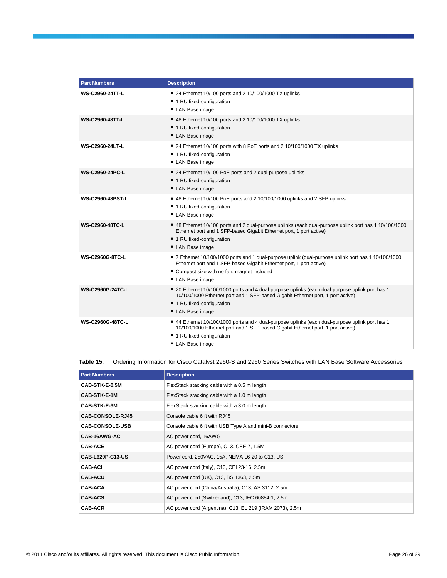| <b>Part Numbers</b>     | <b>Description</b>                                                                                                                                                                                                                             |
|-------------------------|------------------------------------------------------------------------------------------------------------------------------------------------------------------------------------------------------------------------------------------------|
| <b>WS-C2960-24TT-L</b>  | • 24 Ethernet 10/100 ports and 2 10/100/1000 TX uplinks<br>• 1 RU fixed-configuration<br>• LAN Base image                                                                                                                                      |
| <b>WS-C2960-48TT-L</b>  | • 48 Ethernet 10/100 ports and 2 10/100/1000 TX uplinks<br>• 1 RU fixed-configuration<br>• LAN Base image                                                                                                                                      |
| <b>WS-C2960-24LT-L</b>  | • 24 Ethernet 10/100 ports with 8 PoE ports and 2 10/100/1000 TX uplinks<br>• 1 RU fixed-configuration<br>• LAN Base image                                                                                                                     |
| <b>WS-C2960-24PC-L</b>  | • 24 Ethernet 10/100 PoE ports and 2 dual-purpose uplinks<br>• 1 RU fixed-configuration<br>• LAN Base image                                                                                                                                    |
| <b>WS-C2960-48PST-L</b> | • 48 Ethernet 10/100 PoE ports and 2 10/100/1000 uplinks and 2 SFP uplinks<br>• 1 RU fixed-configuration<br>• LAN Base image                                                                                                                   |
| <b>WS-C2960-48TC-L</b>  | • 48 Ethernet 10/100 ports and 2 dual-purpose uplinks (each dual-purpose uplink port has 1 10/100/1000<br>Ethernet port and 1 SFP-based Gigabit Ethernet port, 1 port active)<br>• 1 RU fixed-configuration<br>• LAN Base image                |
| <b>WS-C2960G-8TC-L</b>  | • 7 Ethernet 10/100/1000 ports and 1 dual-purpose uplink (dual-purpose uplink port has 1 10/100/1000<br>Ethernet port and 1 SFP-based Gigabit Ethernet port, 1 port active)<br>• Compact size with no fan; magnet included<br>• LAN Base image |
| <b>WS-C2960G-24TC-L</b> | • 20 Ethernet 10/100/1000 ports and 4 dual-purpose uplinks (each dual-purpose uplink port has 1<br>10/100/1000 Ethernet port and 1 SFP-based Gigabit Ethernet port, 1 port active)<br>• 1 RU fixed-configuration<br>• LAN Base image           |
| <b>WS-C2960G-48TC-L</b> | • 44 Ethernet 10/100/1000 ports and 4 dual-purpose uplinks (each dual-purpose uplink port has 1<br>10/100/1000 Ethernet port and 1 SFP-based Gigabit Ethernet port, 1 port active)<br>• 1 RU fixed-configuration<br>• LAN Base image           |

### **Table 15.** Ordering Information for Cisco Catalyst 2960-S and 2960 Series Switches with LAN Base Software Accessories

| <b>Part Numbers</b>     | <b>Description</b>                                       |
|-------------------------|----------------------------------------------------------|
| CAB-STK-E-0.5M          | FlexStack stacking cable with a 0.5 m length             |
| CAB-STK-E-1M            | FlexStack stacking cable with a 1.0 m length             |
| CAB-STK-E-3M            | FlexStack stacking cable with a 3.0 m length             |
| <b>CAB-CONSOLE-RJ45</b> | Console cable 6 ft with RJ45                             |
| <b>CAB-CONSOLE-USB</b>  | Console cable 6 ft with USB Type A and mini-B connectors |
| CAB-16AWG-AC            | AC power cord, 16AWG                                     |
| <b>CAB-ACE</b>          | AC power cord (Europe), C13, CEE 7, 1.5M                 |
| CAB-L620P-C13-US        | Power cord, 250VAC, 15A, NEMA L6-20 to C13, US           |
| <b>CAB-ACI</b>          | AC power cord (Italy), C13, CEI 23-16, 2.5m              |
| <b>CAB-ACU</b>          | AC power cord (UK), C13, BS 1363, 2.5m                   |
| <b>CAB-ACA</b>          | AC power cord (China/Australia), C13, AS 3112, 2.5m      |
| <b>CAB-ACS</b>          | AC power cord (Switzerland), C13, IEC 60884-1, 2.5m      |
| <b>CAB-ACR</b>          | AC power cord (Argentina), C13, EL 219 (IRAM 2073), 2.5m |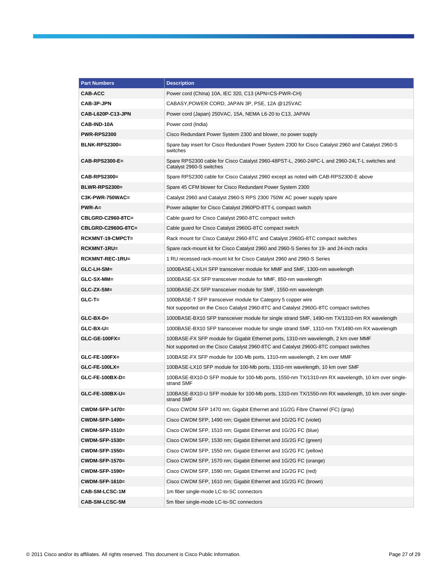| <b>Part Numbers</b>    | <b>Description</b>                                                                                                                                                          |  |
|------------------------|-----------------------------------------------------------------------------------------------------------------------------------------------------------------------------|--|
| <b>CAB-ACC</b>         | Power cord (China) 10A, IEC 320, C13 (APN=CS-PWR-CH)                                                                                                                        |  |
| <b>CAB-3P-JPN</b>      | CABASY, POWER CORD, JAPAN 3P, PSE, 12A @125VAC                                                                                                                              |  |
| CAB-L620P-C13-JPN      | Power cord (Japan) 250VAC, 15A, NEMA L6-20 to C13, JAPAN                                                                                                                    |  |
| CAB-IND-10A            | Power cord (India)                                                                                                                                                          |  |
| <b>PWR-RPS2300</b>     | Cisco Redundant Power System 2300 and blower, no power supply                                                                                                               |  |
| BLNK-RPS2300=          | Spare bay insert for Cisco Redundant Power System 2300 for Cisco Catalyst 2960 and Catalyst 2960-S<br>switches                                                              |  |
| CAB-RPS2300-E=         | Spare RPS2300 cable for Cisco Catalyst 2960-48PST-L, 2960-24PC-L and 2960-24LT-L switches and<br>Catalyst 2960-S switches                                                   |  |
| CAB-RPS2300=           | Spare RPS2300 cable for Cisco Catalyst 2960 except as noted with CAB-RPS2300-E above                                                                                        |  |
| <b>BLWR-RPS2300=</b>   | Spare 45 CFM blower for Cisco Redundant Power System 2300                                                                                                                   |  |
| C3K-PWR-750WAC=        | Catalyst 2960 and Catalyst 2960-S RPS 2300 750W AC power supply spare                                                                                                       |  |
| $PWR-A=$               | Power adapter for Cisco Catalyst 2960PD-8TT-L compact switch                                                                                                                |  |
| CBLGRD-C2960-8TC=      | Cable guard for Cisco Catalyst 2960-8TC compact switch                                                                                                                      |  |
| CBLGRD-C2960G-8TC=     | Cable guard for Cisco Catalyst 2960G-8TC compact switch                                                                                                                     |  |
| RCKMNT-19-CMPCT=       | Rack mount for Cisco Catalyst 2960-8TC and Catalyst 2960G-8TC compact switches                                                                                              |  |
| RCKMNT-1RU=            | Spare rack-mount kit for Cisco Catalyst 2960 and 2960-S Series for 19- and 24-inch racks                                                                                    |  |
| <b>RCKMNT-REC-1RU=</b> | 1 RU recessed rack-mount kit for Cisco Catalyst 2960 and 2960-S Series                                                                                                      |  |
| GLC-LH-SM=             | 1000BASE-LX/LH SFP transceiver module for MMF and SMF, 1300-nm wavelength                                                                                                   |  |
| GLC-SX-MM=             | 1000BASE-SX SFP transceiver module for MMF, 850-nm wavelength                                                                                                               |  |
| GLC-ZX-SM=             | 1000BASE-ZX SFP transceiver module for SMF, 1550-nm wavelength                                                                                                              |  |
| $GLC-T=$               | 1000BASE-T SFP transceiver module for Category 5 copper wire<br>Not supported on the Cisco Catalyst 2960-8TC and Catalyst 2960G-8TC compact switches                        |  |
| $GLC-BX-D=$            | 1000BASE-BX10 SFP transceiver module for single strand SMF, 1490-nm TX/1310-nm RX wavelength                                                                                |  |
| $GLC-BX-U=$            | 1000BASE-BX10 SFP transceiver module for single strand SMF, 1310-nm TX/1490-nm RX wavelength                                                                                |  |
| $GLC-GE-100FX=$        | 100BASE-FX SFP module for Gigabit Ethernet ports, 1310-nm wavelength, 2 km over MMF<br>Not supported on the Cisco Catalyst 2960-8TC and Catalyst 2960G-8TC compact switches |  |
| $GLC$ -FE-100FX=       | 100BASE-FX SFP module for 100-Mb ports, 1310-nm wavelength, 2 km over MMF                                                                                                   |  |
| $GLC$ -FE-100LX=       | 100BASE-LX10 SFP module for 100-Mb ports, 1310-nm wavelength, 10 km over SMF                                                                                                |  |
| $GLC$ -FE-100BX-D=     | 100BASE-BX10-D SFP module for 100-Mb ports, 1550-nm TX/1310-nm RX wavelength, 10 km over single-<br>strand SMF                                                              |  |
| $GLC-FE-100BX-U=$      | 100BASE-BX10-U SFP module for 100-Mb ports, 1310-nm TX/1550-nm RX wavelength, 10 km over single-<br>strand SMF                                                              |  |
| CWDM-SFP-1470=         | Cisco CWDM SFP 1470 nm; Gigabit Ethernet and 1G/2G Fibre Channel (FC) (gray)                                                                                                |  |
| <b>CWDM-SFP-1490=</b>  | Cisco CWDM SFP, 1490 nm; Gigabit Ethernet and 1G/2G FC (violet)                                                                                                             |  |
| CWDM-SFP-1510=         | Cisco CWDM SFP, 1510 nm; Gigabit Ethernet and 1G/2G FC (blue)                                                                                                               |  |
| <b>CWDM-SFP-1530=</b>  | Cisco CWDM SFP, 1530 nm; Gigabit Ethernet and 1G/2G FC (green)                                                                                                              |  |
| <b>CWDM-SFP-1550=</b>  | Cisco CWDM SFP, 1550 nm; Gigabit Ethernet and 1G/2G FC (yellow)                                                                                                             |  |
| <b>CWDM-SFP-1570=</b>  | Cisco CWDM SFP, 1570 nm; Gigabit Ethernet and 1G/2G FC (orange)                                                                                                             |  |
| <b>CWDM-SFP-1590=</b>  | Cisco CWDM SFP, 1590 nm; Gigabit Ethernet and 1G/2G FC (red)                                                                                                                |  |
| CWDM-SFP-1610=         | Cisco CWDM SFP, 1610 nm; Gigabit Ethernet and 1G/2G FC (brown)                                                                                                              |  |
| <b>CAB-SM-LCSC-1M</b>  | 1m fiber single-mode LC-to-SC connectors                                                                                                                                    |  |
| CAB-SM-LCSC-5M         | 5m fiber single-mode LC-to-SC connectors                                                                                                                                    |  |